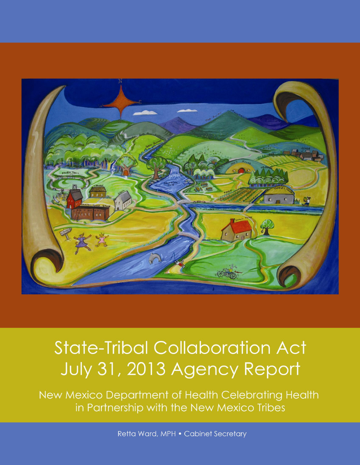

# **State-Tribal Collaboration Act** July 31, 2013 Agency Report

New Mexico Department of Health Celebrating Health in Partnership with the New Mexico Tribes

Retta Ward, MPH . Cabinet Secretary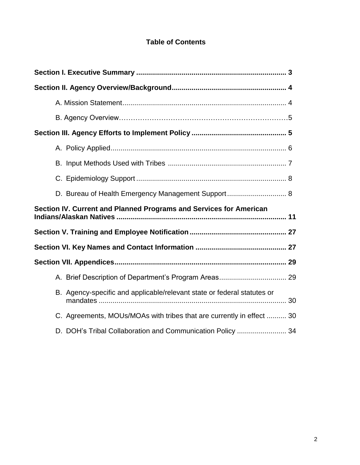# **Table of Contents**

| Section IV. Current and Planned Programs and Services for American      |  |
|-------------------------------------------------------------------------|--|
|                                                                         |  |
|                                                                         |  |
|                                                                         |  |
|                                                                         |  |
| B. Agency-specific and applicable/relevant state or federal statutes or |  |
| C. Agreements, MOUs/MOAs with tribes that are currently in effect  30   |  |
| D. DOH's Tribal Collaboration and Communication Policy  34              |  |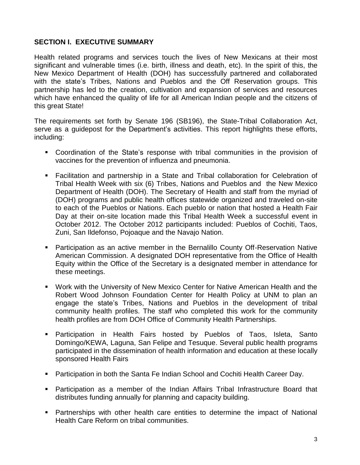## **SECTION I. EXECUTIVE SUMMARY**

Health related programs and services touch the lives of New Mexicans at their most significant and vulnerable times (i.e. birth, illness and death, etc). In the spirit of this, the New Mexico Department of Health (DOH) has successfully partnered and collaborated with the state's Tribes, Nations and Pueblos and the Off Reservation groups. This partnership has led to the creation, cultivation and expansion of services and resources which have enhanced the quality of life for all American Indian people and the citizens of this great State!

The requirements set forth by Senate 196 (SB196), the State-Tribal Collaboration Act, serve as a guidepost for the Department's activities. This report highlights these efforts, including:

- Coordination of the State's response with tribal communities in the provision of vaccines for the prevention of influenza and pneumonia.
- Facilitation and partnership in a State and Tribal collaboration for Celebration of Tribal Health Week with six (6) Tribes, Nations and Pueblos and the New Mexico Department of Health (DOH). The Secretary of Health and staff from the myriad of (DOH) programs and public health offices statewide organized and traveled on-site to each of the Pueblos or Nations. Each pueblo or nation that hosted a Health Fair Day at their on-site location made this Tribal Health Week a successful event in October 2012. The October 2012 participants included: Pueblos of Cochiti, Taos, Zuni, San Ildefonso, Pojoaque and the Navajo Nation.
- Participation as an active member in the Bernalillo County Off-Reservation Native American Commission. A designated DOH representative from the Office of Health Equity within the Office of the Secretary is a designated member in attendance for these meetings.
- Work with the University of New Mexico Center for Native American Health and the Robert Wood Johnson Foundation Center for Health Policy at UNM to plan an engage the state's Tribes, Nations and Pueblos in the development of tribal community health profiles. The staff who completed this work for the community health profiles are from DOH Office of Community Health Partnerships.
- Participation in Health Fairs hosted by Pueblos of Taos, Isleta, Santo Domingo/KEWA, Laguna, San Felipe and Tesuque. Several public health programs participated in the dissemination of health information and education at these locally sponsored Health Fairs
- Participation in both the Santa Fe Indian School and Cochiti Health Career Day.
- Participation as a member of the Indian Affairs Tribal Infrastructure Board that distributes funding annually for planning and capacity building.
- Partnerships with other health care entities to determine the impact of National Health Care Reform on tribal communities.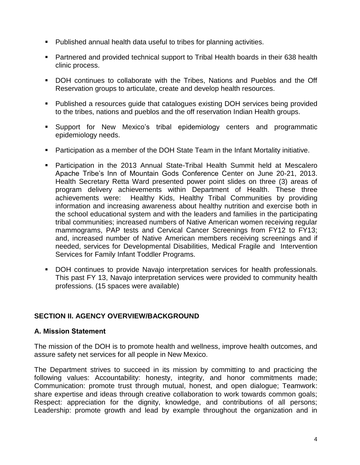- Published annual health data useful to tribes for planning activities.
- Partnered and provided technical support to Tribal Health boards in their 638 health clinic process.
- DOH continues to collaborate with the Tribes, Nations and Pueblos and the Off Reservation groups to articulate, create and develop health resources.
- Published a resources guide that catalogues existing DOH services being provided to the tribes, nations and pueblos and the off reservation Indian Health groups.
- Support for New Mexico's tribal epidemiology centers and programmatic epidemiology needs.
- Participation as a member of the DOH State Team in the Infant Mortality initiative.
- Participation in the 2013 Annual State-Tribal Health Summit held at Mescalero Apache Tribe's Inn of Mountain Gods Conference Center on June 20-21, 2013. Health Secretary Retta Ward presented power point slides on three (3) areas of program delivery achievements within Department of Health. These three achievements were: Healthy Kids, Healthy Tribal Communities by providing information and increasing awareness about healthy nutrition and exercise both in the school educational system and with the leaders and families in the participating tribal communities; increased numbers of Native American women receiving regular mammograms, PAP tests and Cervical Cancer Screenings from FY12 to FY13; and, increased number of Native American members receiving screenings and if needed, services for Developmental Disabilities, Medical Fragile and Intervention Services for Family Infant Toddler Programs.
- DOH continues to provide Navajo interpretation services for health professionals. This past FY 13, Navajo interpretation services were provided to community health professions. (15 spaces were available)

## **SECTION II. AGENCY OVERVIEW/BACKGROUND**

## **A. Mission Statement**

The mission of the DOH is to promote health and wellness, improve health outcomes, and assure safety net services for all people in New Mexico.

The Department strives to succeed in its mission by committing to and practicing the following values: Accountability: honesty, integrity, and honor commitments made; Communication: promote trust through mutual, honest, and open dialogue; Teamwork: share expertise and ideas through creative collaboration to work towards common goals; Respect: appreciation for the dignity, knowledge, and contributions of all persons; Leadership: promote growth and lead by example throughout the organization and in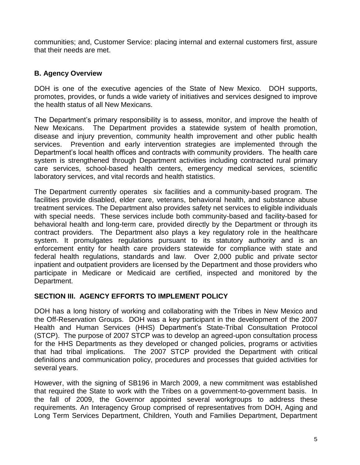communities; and, Customer Service: placing internal and external customers first, assure that their needs are met.

## **B. Agency Overview**

DOH is one of the executive agencies of the State of New Mexico. DOH supports, promotes, provides, or funds a wide variety of initiatives and services designed to improve the health status of all New Mexicans.

The Department's primary responsibility is to assess, monitor, and improve the health of New Mexicans. The Department provides a statewide system of health promotion, disease and injury prevention, community health improvement and other public health services. Prevention and early intervention strategies are implemented through the Department's local health offices and contracts with community providers. The health care system is strengthened through Department activities including contracted rural primary care services, school-based health centers, emergency medical services, scientific laboratory services, and vital records and health statistics.

The Department currently operates six facilities and a community-based program. The facilities provide disabled, elder care, veterans, behavioral health, and substance abuse treatment services. The Department also provides safety net services to eligible individuals with special needs. These services include both community-based and facility-based for behavioral health and long-term care, provided directly by the Department or through its contract providers. The Department also plays a key regulatory role in the healthcare system. It promulgates regulations pursuant to its statutory authority and is an enforcement entity for health care providers statewide for compliance with state and federal health regulations, standards and law. Over 2,000 public and private sector inpatient and outpatient providers are licensed by the Department and those providers who participate in Medicare or Medicaid are certified, inspected and monitored by the Department.

## **SECTION III. AGENCY EFFORTS TO IMPLEMENT POLICY**

DOH has a long history of working and collaborating with the Tribes in New Mexico and the Off-Reservation Groups. DOH was a key participant in the development of the 2007 Health and Human Services (HHS) Department's State-Tribal Consultation Protocol (STCP). The purpose of 2007 STCP was to develop an agreed-upon consultation process for the HHS Departments as they developed or changed policies, programs or activities that had tribal implications. The 2007 STCP provided the Department with critical definitions and communication policy, procedures and processes that guided activities for several years.

However, with the signing of SB196 in March 2009, a new commitment was established that required the State to work with the Tribes on a government-to-government basis. In the fall of 2009, the Governor appointed several workgroups to address these requirements. An Interagency Group comprised of representatives from DOH, Aging and Long Term Services Department, Children, Youth and Families Department, Department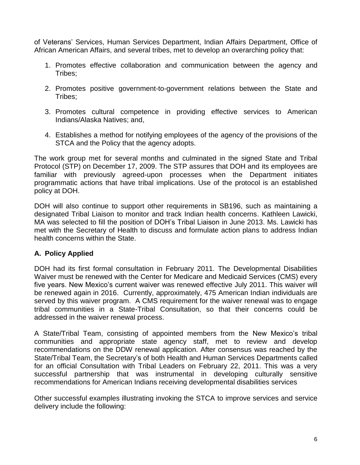of Veterans' Services, Human Services Department, Indian Affairs Department, Office of African American Affairs, and several tribes, met to develop an overarching policy that:

- 1. Promotes effective collaboration and communication between the agency and Tribes;
- 2. Promotes positive government-to-government relations between the State and Tribes;
- 3. Promotes cultural competence in providing effective services to American Indians/Alaska Natives; and,
- 4. Establishes a method for notifying employees of the agency of the provisions of the STCA and the Policy that the agency adopts.

The work group met for several months and culminated in the signed State and Tribal Protocol (STP) on December 17, 2009. The STP assures that DOH and its employees are familiar with previously agreed-upon processes when the Department initiates programmatic actions that have tribal implications. Use of the protocol is an established policy at DOH.

DOH will also continue to support other requirements in SB196, such as maintaining a designated Tribal Liaison to monitor and track Indian health concerns. Kathleen Lawicki, MA was selected to fill the position of DOH's Tribal Liaison in June 2013. Ms. Lawicki has met with the Secretary of Health to discuss and formulate action plans to address Indian health concerns within the State.

# **A. Policy Applied**

DOH had its first formal consultation in February 2011. The Developmental Disabilities Waiver must be renewed with the Center for Medicare and Medicaid Services (CMS) every five years. New Mexico's current waiver was renewed effective July 2011. This waiver will be renewed again in 2016. Currently, approximately, 475 American Indian individuals are served by this waiver program. A CMS requirement for the waiver renewal was to engage tribal communities in a State-Tribal Consultation, so that their concerns could be addressed in the waiver renewal process.

A State/Tribal Team, consisting of appointed members from the New Mexico's tribal communities and appropriate state agency staff, met to review and develop recommendations on the DDW renewal application. After consensus was reached by the State/Tribal Team, the Secretary's of both Health and Human Services Departments called for an official Consultation with Tribal Leaders on February 22, 2011. This was a very successful partnership that was instrumental in developing culturally sensitive recommendations for American Indians receiving developmental disabilities services

Other successful examples illustrating invoking the STCA to improve services and service delivery include the following: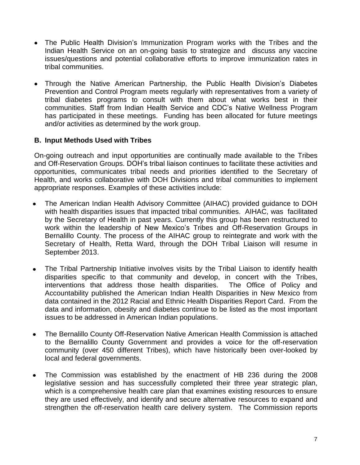- The Public Health Division's Immunization Program works with the Tribes and the Indian Health Service on an on-going basis to strategize and discuss any vaccine issues/questions and potential collaborative efforts to improve immunization rates in tribal communities.
- Through the Native American Partnership, the Public Health Division's Diabetes Prevention and Control Program meets regularly with representatives from a variety of tribal diabetes programs to consult with them about what works best in their communities. Staff from Indian Health Service and CDC's Native Wellness Program has participated in these meetings. Funding has been allocated for future meetings and/or activities as determined by the work group.

## **B. Input Methods Used with Tribes**

On-going outreach and input opportunities are continually made available to the Tribes and Off-Reservation Groups. DOH's tribal liaison continues to facilitate these activities and opportunities, communicates tribal needs and priorities identified to the Secretary of Health, and works collaborative with DOH Divisions and tribal communities to implement appropriate responses. Examples of these activities include:

- The American Indian Health Advisory Committee (AIHAC) provided guidance to DOH with health disparities issues that impacted tribal communities. AIHAC, was facilitated by the Secretary of Health in past years. Currently this group has been restructured to work within the leadership of New Mexico's Tribes and Off-Reservation Groups in Bernalillo County. The process of the AIHAC group to reintegrate and work with the Secretary of Health, Retta Ward, through the DOH Tribal Liaison will resume in September 2013.
- The Tribal Partnership Initiative involves visits by the Tribal Liaison to identify health disparities specific to that community and develop, in concert with the Tribes, interventions that address those health disparities. The Office of Policy and Accountability published the American Indian Health Disparities in New Mexico from data contained in the 2012 Racial and Ethnic Health Disparities Report Card. From the data and information, obesity and diabetes continue to be listed as the most important issues to be addressed in American Indian populations.
- The Bernalillo County Off-Reservation Native American Health Commission is attached to the Bernalillo County Government and provides a voice for the off-reservation community (over 450 different Tribes), which have historically been over-looked by local and federal governments.
- The Commission was established by the enactment of HB 236 during the 2008 legislative session and has successfully completed their three year strategic plan, which is a comprehensive health care plan that examines existing resources to ensure they are used effectively, and identify and secure alternative resources to expand and strengthen the off-reservation health care delivery system. The Commission reports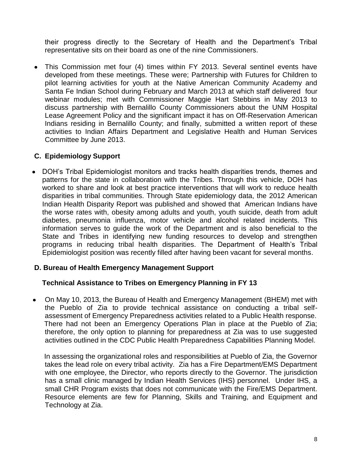their progress directly to the Secretary of Health and the Department's Tribal representative sits on their board as one of the nine Commissioners.

This Commission met four (4) times within FY 2013. Several sentinel events have developed from these meetings. These were; Partnership with Futures for Children to pilot learning activities for youth at the Native American Community Academy and Santa Fe Indian School during February and March 2013 at which staff delivered four webinar modules; met with Commissioner Maggie Hart Stebbins in May 2013 to discuss partnership with Bernalillo County Commissioners about the UNM Hospital Lease Agreement Policy and the significant impact it has on Off-Reservation American Indians residing in Bernalillo County; and finally, submitted a written report of these activities to Indian Affairs Department and Legislative Health and Human Services Committee by June 2013.

## **C. Epidemiology Support**

DOH's Tribal Epidemiologist monitors and tracks health disparities trends, themes and patterns for the state in collaboration with the Tribes. Through this vehicle, DOH has worked to share and look at best practice interventions that will work to reduce health disparities in tribal communities. Through State epidemiology data, the 2012 American Indian Health Disparity Report was published and showed that American Indians have the worse rates with, obesity among adults and youth, youth suicide, death from adult diabetes, pneumonia influenza, motor vehicle and alcohol related incidents. This information serves to guide the work of the Department and is also beneficial to the State and Tribes in identifying new funding resources to develop and strengthen programs in reducing tribal health disparities. The Department of Health's Tribal Epidemiologist position was recently filled after having been vacant for several months.

## **D. Bureau of Health Emergency Management Support**

## **Technical Assistance to Tribes on Emergency Planning in FY 13**

On May 10, 2013, the Bureau of Health and Emergency Management (BHEM) met with the Pueblo of Zia to provide technical assistance on conducting a tribal selfassessment of Emergency Preparedness activities related to a Public Health response. There had not been an Emergency Operations Plan in place at the Pueblo of Zia; therefore, the only option to planning for preparedness at Zia was to use suggested activities outlined in the CDC Public Health Preparedness Capabilities Planning Model.

In assessing the organizational roles and responsibilities at Pueblo of Zia, the Governor takes the lead role on every tribal activity. Zia has a Fire Department/EMS Department with one employee, the Director, who reports directly to the Governor. The jurisdiction has a small clinic managed by Indian Health Services (IHS) personnel. Under IHS, a small CHR Program exists that does not communicate with the Fire/EMS Department. Resource elements are few for Planning, Skills and Training, and Equipment and Technology at Zia.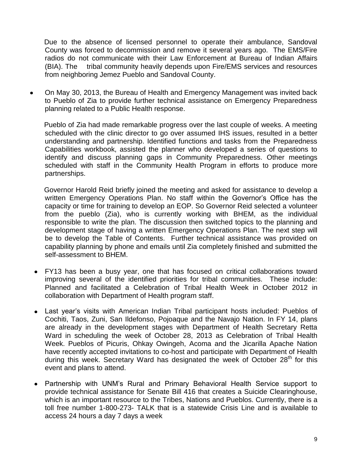Due to the absence of licensed personnel to operate their ambulance, Sandoval County was forced to decommission and remove it several years ago. The EMS/Fire radios do not communicate with their Law Enforcement at Bureau of Indian Affairs (BIA). The tribal community heavily depends upon Fire/EMS services and resources from neighboring Jemez Pueblo and Sandoval County.

On May 30, 2013, the Bureau of Health and Emergency Management was invited back  $\bullet$ to Pueblo of Zia to provide further technical assistance on Emergency Preparedness planning related to a Public Health response.

 Pueblo of Zia had made remarkable progress over the last couple of weeks. A meeting scheduled with the clinic director to go over assumed IHS issues, resulted in a better understanding and partnership. Identified functions and tasks from the Preparedness Capabilities workbook, assisted the planner who developed a series of questions to identify and discuss planning gaps in Community Preparedness. Other meetings scheduled with staff in the Community Health Program in efforts to produce more partnerships.

 Governor Harold Reid briefly joined the meeting and asked for assistance to develop a written Emergency Operations Plan. No staff within the Governor's Office has the capacity or time for training to develop an EOP. So Governor Reid selected a volunteer from the pueblo (Zia), who is currently working with BHEM, as the individual responsible to write the plan. The discussion then switched topics to the planning and development stage of having a written Emergency Operations Plan. The next step will be to develop the Table of Contents. Further technical assistance was provided on capability planning by phone and emails until Zia completely finished and submitted the self-assessment to BHEM.

- FY13 has been a busy year, one that has focused on critical collaborations toward improving several of the identified priorities for tribal communities. These include: Planned and facilitated a Celebration of Tribal Health Week in October 2012 in collaboration with Department of Health program staff.
- Last year's visits with American Indian Tribal participant hosts included: Pueblos of Cochiti, Taos, Zuni, San Ildefonso, Pojoaque and the Navajo Nation. In FY 14, plans are already in the development stages with Department of Health Secretary Retta Ward in scheduling the week of October 28, 2013 as Celebration of Tribal Health Week. Pueblos of Picuris, Ohkay Owingeh, Acoma and the Jicarilla Apache Nation have recently accepted invitations to co-host and participate with Department of Health during this week. Secretary Ward has designated the week of October 28<sup>th</sup> for this event and plans to attend.
- Partnership with UNM's Rural and Primary Behavioral Health Service support to provide technical assistance for Senate Bill 416 that creates a Suicide Clearinghouse, which is an important resource to the Tribes, Nations and Pueblos. Currently, there is a toll free number 1-800-273- TALK that is a statewide Crisis Line and is available to access 24 hours a day 7 days a week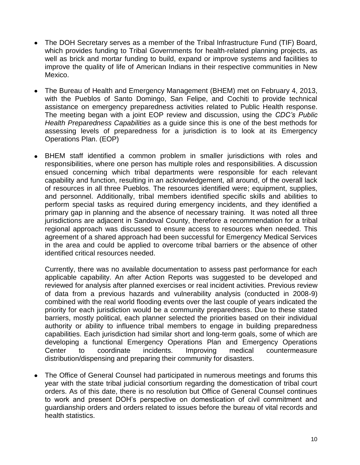- The DOH Secretary serves as a member of the Tribal Infrastructure Fund (TIF) Board, which provides funding to Tribal Governments for health-related planning projects, as well as brick and mortar funding to build, expand or improve systems and facilities to improve the quality of life of American Indians in their respective communities in New Mexico.
- The Bureau of Health and Emergency Management (BHEM) met on February 4, 2013, with the Pueblos of Santo Domingo, San Felipe, and Cochiti to provide technical assistance on emergency preparedness activities related to Public Health response. The meeting began with a joint EOP review and discussion, using the *CDC's Public Health Preparedness Capabilities* as a guide since this is one of the best methods for assessing levels of preparedness for a jurisdiction is to look at its Emergency Operations Plan. (EOP)
- BHEM staff identified a common problem in smaller jurisdictions with roles and responsibilities, where one person has multiple roles and responsibilities. A discussion ensued concerning which tribal departments were responsible for each relevant capability and function, resulting in an acknowledgement, all around, of the overall lack of resources in all three Pueblos. The resources identified were; equipment, supplies, and personnel. Additionally, tribal members identified specific skills and abilities to perform special tasks as required during emergency incidents, and they identified a primary gap in planning and the absence of necessary training. It was noted all three jurisdictions are adjacent in Sandoval County, therefore a recommendation for a tribal regional approach was discussed to ensure access to resources when needed. This agreement of a shared approach had been successful for Emergency Medical Services in the area and could be applied to overcome tribal barriers or the absence of other identified critical resources needed.

Currently, there was no available documentation to assess past performance for each applicable capability. An after Action Reports was suggested to be developed and reviewed for analysis after planned exercises or real incident activities. Previous review of data from a previous hazards and vulnerability analysis (conducted in 2008-9) combined with the real world flooding events over the last couple of years indicated the priority for each jurisdiction would be a community preparedness. Due to these stated barriers, mostly political, each planner selected the priorities based on their individual authority or ability to influence tribal members to engage in building preparedness capabilities. Each jurisdiction had similar short and long-term goals, some of which are developing a functional Emergency Operations Plan and Emergency Operations Center to coordinate incidents. Improving medical countermeasure distribution/dispensing and preparing their community for disasters.

The Office of General Counsel had participated in numerous meetings and forums this year with the state tribal judicial consortium regarding the domestication of tribal court orders. As of this date, there is no resolution but Office of General Counsel continues to work and present DOH's perspective on domestication of civil commitment and guardianship orders and orders related to issues before the bureau of vital records and health statistics.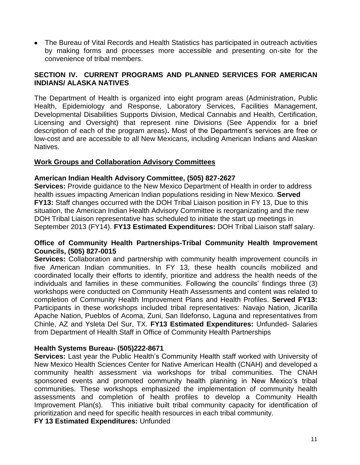• The Bureau of Vital Records and Health Statistics has participated in outreach activities by making forms and processes more accessible and presenting on-site for the convenience of tribal members.

## **SECTION IV. CURRENT PROGRAMS AND PLANNED SERVICES FOR AMERICAN INDIANS/ ALASKA NATIVES**

The Department of Health is organized into eight program areas (Administration, Public Health, Epidemiology and Response, Laboratory Services, Facilities Management, Developmental Disabilities Supports Division, Medical Cannabis and Health, Certification, Licensing and Oversight) that represent nine Divisions (See Appendix for a brief description of each of the program areas)**.** Most of the Department's services are free or low-cost and are accessible to all New Mexicans, including American Indians and Alaskan Natives.

## **Work Groups and Collaboration Advisory Committees**

## **American Indian Health Advisory Committee, (505) 827-2627**

**Services:** Provide guidance to the New Mexico Department of Health in order to address health issues impacting American Indian populations residing in New Mexico. **Served FY13:** Staff changes occurred with the DOH Tribal Liaison position in FY 13, Due to this situation, the American Indian Health Advisory Committee is reorganizating and the new DOH Tribal Liaison representative has scheduled to initiate the start up meetings in September 2013 (FY14). **FY13 Estimated Expenditures:** DOH Tribal Liaison staff salary.

## **Office of Community Health Partnerships-Tribal Community Health Improvement Councils, (505) 827-0015**

**Services:** Collaboration and partnership with community health improvement councils in five American Indian communities. In FY 13, these health councils mobilized and coordinated locally their efforts to identify, prioritize and address the health needs of the individuals and families in these communities. Following the councils' findings three (3) workshops were conducted on Community Heath Assessments and content was related to completion of Community Health Improvement Plans and Health Profiles. **Served FY13:**  Participants in these workshops included tribal representatives: Navajo Nation, Jicarilla Apache Nation, Pueblos of Acoma, Zuni, San Ildefonso, Laguna and representatives from Chinle, AZ and Ysleta Del Sur, TX. **FY13 Estimated Expenditures:** Unfunded- Salaries from Department of Health Staff in Office of Community Health Partnerships

## **Health Systems Bureau- (505)222-8671**

**Services:** Last year the Public Health's Community Health staff worked with University of New Mexico Health Sciences Center for Native American Health (CNAH) and developed a community health assessment via workshops for tribal communities. The CNAH sponsored events and promoted community health planning in New Mexico's tribal communities. These workshops emphasized the implementation of community health assessments and completion of health profiles to develop a Community Health Improvement Plan(s). This initiative built tribal community capacity for identification of prioritization and need for specific health resources in each tribal community.

**FY 13 Estimated Expenditures:** Unfunded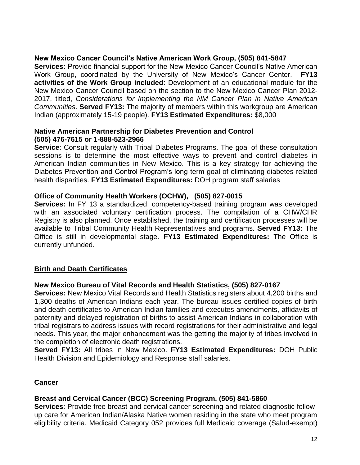## **New Mexico Cancer Council's Native American Work Group, (505) 841-5847**

**Services:** Provide financial support for the New Mexico Cancer Council's Native American Work Group, coordinated by the University of New Mexico's Cancer Center. **FY13 activities of the Work Group included**: Development of an educational module for the New Mexico Cancer Council based on the section to the New Mexico Cancer Plan 2012- 2017, titled, *Considerations for Implementing the NM Cancer Plan in Native American Communities*. **Served FY13:** The majority of members within this workgroup are American Indian (approximately 15-19 people). **FY13 Estimated Expenditures:** \$8,000

## **Native American Partnership for Diabetes Prevention and Control (505) 476-7615 or 1-888-523-2966**

**Service**: Consult regularly with Tribal Diabetes Programs. The goal of these consultation sessions is to determine the most effective ways to prevent and control diabetes in American Indian communities in New Mexico. This is a key strategy for achieving the Diabetes Prevention and Control Program's long-term goal of eliminating diabetes-related health disparities. **FY13 Estimated Expenditures:** DOH program staff salaries

## **Office of Community Health Workers (OCHW), (505) 827-0015**

**Services:** In FY 13 a standardized, competency-based training program was developed with an associated voluntary certification process. The compilation of a CHW/CHR Registry is also planned. Once established, the training and certification processes will be available to Tribal Community Health Representatives and programs. **Served FY13:** The Office is still in developmental stage. **FY13 Estimated Expenditures:** The Office is currently unfunded.

# **Birth and Death Certificates**

## **New Mexico Bureau of Vital Records and Health Statistics, (505) 827-0167**

**Services:** New Mexico Vital Records and Health Statistics registers about 4,200 births and 1,300 deaths of American Indians each year. The bureau issues certified copies of birth and death certificates to American Indian families and executes amendments, affidavits of paternity and delayed registration of births to assist American Indians in collaboration with tribal registrars to address issues with record registrations for their administrative and legal needs. This year, the major enhancement was the getting the majority of tribes involved in the completion of electronic death registrations.

**Served FY13:** All tribes in New Mexico. **FY13 Estimated Expenditures:** DOH Public Health Division and Epidemiology and Response staff salaries.

## **Cancer**

# **Breast and Cervical Cancer (BCC) Screening Program, (505) 841-5860**

**Services**: Provide free breast and cervical cancer screening and related diagnostic followup care for American Indian/Alaska Native women residing in the state who meet program eligibility criteria. Medicaid Category 052 provides full Medicaid coverage (Salud-exempt)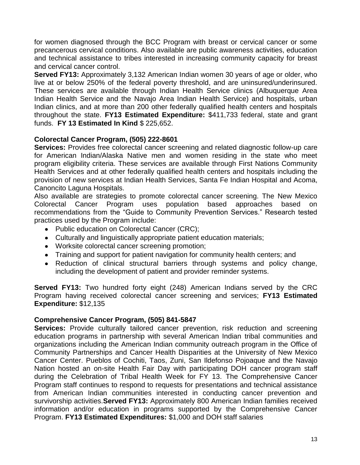for women diagnosed through the BCC Program with breast or cervical cancer or some precancerous cervical conditions. Also available are public awareness activities, education and technical assistance to tribes interested in increasing community capacity for breast and cervical cancer control.

**Served FY13:** Approximately 3,132 American Indian women 30 years of age or older, who live at or below 250% of the federal poverty threshold, and are uninsured/underinsured. These services are available through Indian Health Service clinics (Albuquerque Area Indian Health Service and the Navajo Area Indian Health Service) and hospitals, urban Indian clinics, and at more than 200 other federally qualified health centers and hospitals throughout the state. **FY13 Estimated Expenditure:** \$411,733 federal, state and grant funds. **FY 13 Estimated In Kind** \$ 225,652.

## **Colorectal Cancer Program, (505) 222-8601**

**Services:** Provides free colorectal cancer screening and related diagnostic follow-up care for American Indian/Alaska Native men and women residing in the state who meet program eligibility criteria. These services are available through First Nations Community Health Services and at other federally qualified health centers and hospitals including the provision of new services at Indian Health Services, Santa Fe Indian Hospital and Acoma, Canoncito Laguna Hospitals.

Also available are strategies to promote colorectal cancer screening. The New Mexico Colorectal Cancer Program uses population based approaches based on recommendations from the "Guide to Community Prevention Services." Research tested practices used by the Program include:

- Public education on Colorectal Cancer (CRC);
- Culturally and linguistically appropriate patient education materials;
- Worksite colorectal cancer screening promotion;
- Training and support for patient navigation for community health centers; and
- Reduction of clinical structural barriers through systems and policy change, including the development of patient and provider reminder systems.

**Served FY13:** Two hundred forty eight (248) American Indians served by the CRC Program having received colorectal cancer screening and services; **FY13 Estimated Expenditure:** \$12,135

## **Comprehensive Cancer Program, (505) 841-5847**

**Services:** Provide culturally tailored cancer prevention, risk reduction and screening education programs in partnership with several American Indian tribal communities and organizations including the American Indian community outreach program in the Office of Community Partnerships and Cancer Health Disparities at the University of New Mexico Cancer Center. Pueblos of Cochiti, Taos, Zuni, San Ildefonso Pojoaque and the Navajo Nation hosted an on-site Health Fair Day with participating DOH cancer program staff during the Celebration of Tribal Health Week for FY 13. The Comprehensive Cancer Program staff continues to respond to requests for presentations and technical assistance from American Indian communities interested in conducting cancer prevention and survivorship activities.**Served FY13:** Approximately 800 American Indian families received information and/or education in programs supported by the Comprehensive Cancer Program. **FY13 Estimated Expenditures:** \$1,000 and DOH staff salaries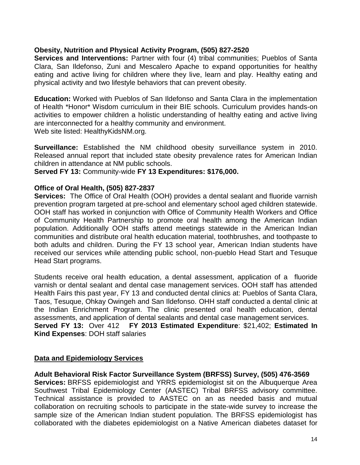## **Obesity, Nutrition and Physical Activity Program, (505) 827-2520**

**Services and Interventions:** Partner with four (4) tribal communities; Pueblos of Santa Clara, San Ildefonso, Zuni and Mescalero Apache to expand opportunities for healthy eating and active living for children where they live, learn and play. Healthy eating and physical activity and two lifestyle behaviors that can prevent obesity.

**Education:** Worked with Pueblos of San Ildefonso and Santa Clara in the implementation of Health \*Honor\* Wisdom curriculum in their BIE schools. Curriculum provides hands-on activities to empower children a holistic understanding of healthy eating and active living are interconnected for a healthy community and environment. Web site listed: HealthyKidsNM.org.

**Surveillance:** Established the NM childhood obesity surveillance system in 2010. Released annual report that included state obesity prevalence rates for American Indian children in attendance at NM public schools.

**Served FY 13:** Community-wide **FY 13 Expenditures: \$176,000.**

## **Office of Oral Health, (505) 827-2837**

**Services:** The Office of Oral Health (OOH) provides a dental sealant and fluoride varnish prevention program targeted at pre-school and elementary school aged children statewide. OOH staff has worked in conjunction with Office of Community Health Workers and Office of Community Health Partnership to promote oral health among the American Indian population. Additionally OOH staffs attend meetings statewide in the American Indian communities and distribute oral health education material, toothbrushes, and toothpaste to both adults and children. During the FY 13 school year, American Indian students have received our services while attending public school, non-pueblo Head Start and Tesuque Head Start programs.

Students receive oral health education, a dental assessment, application of a fluoride varnish or dental sealant and dental case management services. OOH staff has attended Health Fairs this past year, FY 13 and conducted dental clinics at: Pueblos of Santa Clara, Taos, Tesuque, Ohkay Owingeh and San Ildefonso. OHH staff conducted a dental clinic at the Indian Enrichment Program. The clinic presented oral health education, dental assessments, and application of dental sealants and dental case management services. **Served FY 13:** Over 412 **FY 2013 Estimated Expenditure**: \$21,402; **Estimated In Kind Expenses**: DOH staff salaries

# **Data and Epidemiology Services**

**Adult Behavioral Risk Factor Surveillance System (BRFSS) Survey, (505) 476-3569 Services:** BRFSS epidemiologist and YRRS epidemiologist sit on the Albuquerque Area Southwest Tribal Epidemiology Center (AASTEC) Tribal BRFSS advisory committee. Technical assistance is provided to AASTEC on an as needed basis and mutual collaboration on recruiting schools to participate in the state-wide survey to increase the sample size of the American Indian student population. The BRFSS epidemiologist has collaborated with the diabetes epidemiologist on a Native American diabetes dataset for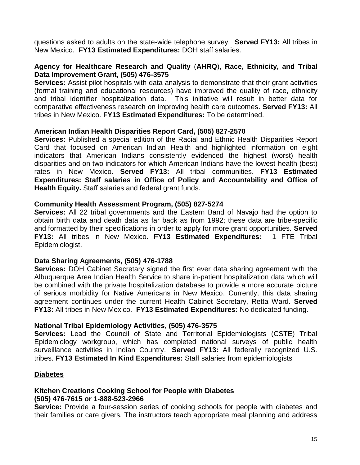questions asked to adults on the state-wide telephone survey. **Served FY13:** All tribes in New Mexico. **FY13 Estimated Expenditures:** DOH staff salaries.

## **Agency for Healthcare Research and Quality** (**AHRQ**), **Race, Ethnicity, and Tribal Data Improvement Grant, (505) 476-3575**

**Services:** Assist pilot hospitals with data analysis to demonstrate that their grant activities (formal training and educational resources) have improved the quality of race, ethnicity and tribal identifier hospitalization data. This initiative will result in better data for comparative effectiveness research on improving health care outcomes. **Served FY13:** All tribes in New Mexico. **FY13 Estimated Expenditures:** To be determined.

## **American Indian Health Disparities Report Card, (505) 827-2570**

**Services:** Published a special edition of the Racial and Ethnic Health Disparities Report Card that focused on American Indian Health and highlighted information on eight indicators that American Indians consistently evidenced the highest (worst) health disparities and on two indicators for which American Indians have the lowest health (best) rates in New Mexico. **Served FY13:** All tribal communities. **FY13 Estimated Expenditures: Staff salaries in Office of Policy and Accountability and Office of Health Equity.** Staff salaries and federal grant funds.

## **Community Health Assessment Program, (505) 827-5274**

**Services:** All 22 tribal governments and the Eastern Band of Navajo had the option to obtain birth data and death data as far back as from 1992; these data are tribe-specific and formatted by their specifications in order to apply for more grant opportunities. **Served FY13:** All tribes in New Mexico. **FY13 Estimated Expenditures:** 1 FTE Tribal Epidemiologist.

## **Data Sharing Agreements, (505) 476-1788**

**Services:** DOH Cabinet Secretary signed the first ever data sharing agreement with the Albuquerque Area Indian Health Service to share in-patient hospitalization data which will be combined with the private hospitalization database to provide a more accurate picture of serious morbidity for Native Americans in New Mexico. Currently, this data sharing agreement continues under the current Health Cabinet Secretary, Retta Ward. **Served FY13:** All tribes in New Mexico. **FY13 Estimated Expenditures:** No dedicated funding.

## **National Tribal Epidemiology Activities, (505) 476-3575**

**Services:** Lead the Council of State and Territorial Epidemiologists (CSTE) Tribal Epidemiology workgroup, which has completed national surveys of public health surveillance activities in Indian Country. **Served FY13:** All federally recognized U.S. tribes. **FY13 Estimated In Kind Expenditures:** Staff salaries from epidemiologists

## **Diabetes**

## **Kitchen Creations Cooking School for People with Diabetes (505) 476-7615 or 1-888-523-2966**

**Service:** Provide a four-session series of cooking schools for people with diabetes and their families or care givers. The instructors teach appropriate meal planning and address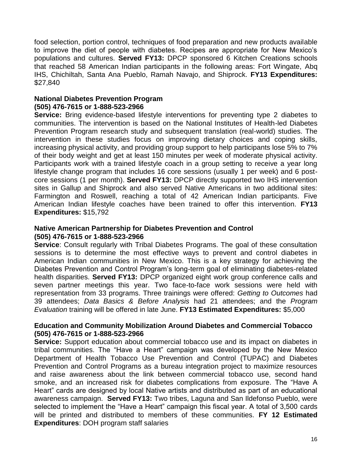food selection, portion control, techniques of food preparation and new products available to improve the diet of people with diabetes. Recipes are appropriate for New Mexico's populations and cultures. **Served FY13:** DPCP sponsored 6 Kitchen Creations schools that reached 58 American Indian participants in the following areas: Fort Wingate, Abq IHS, Chichiltah, Santa Ana Pueblo, Ramah Navajo, and Shiprock. **FY13 Expenditures:**  \$27,840

## **National Diabetes Prevention Program (505) 476-7615 or 1-888-523-2966**

**Service:** Bring evidence-based lifestyle interventions for preventing type 2 diabetes to communities. The intervention is based on the National Institutes of Health-led Diabetes Prevention Program research study and subsequent translation (real-world) studies. The intervention in these studies focus on improving dietary choices and coping skills, increasing physical activity, and providing group support to help participants lose 5% to 7% of their body weight and get at least 150 minutes per week of moderate physical activity. Participants work with a trained lifestyle coach in a group setting to receive a year long lifestyle change program that includes 16 core sessions (usually 1 per week) and 6 postcore sessions (1 per month). **Served FY13:** DPCP directly supported two IHS intervention sites in Gallup and Shiprock and also served Native Americans in two additional sites: Farmington and Roswell, reaching a total of 42 American Indian participants. Five American Indian lifestyle coaches have been trained to offer this intervention. **FY13 Expenditures:** \$15,792

## **Native American Partnership for Diabetes Prevention and Control (505) 476-7615 or 1-888-523-2966**

**Service:** Consult regularly with Tribal Diabetes Programs. The goal of these consultation sessions is to determine the most effective ways to prevent and control diabetes in American Indian communities in New Mexico. This is a key strategy for achieving the Diabetes Prevention and Control Program's long-term goal of eliminating diabetes-related health disparities. **Served FY13:** DPCP organized eight work group conference calls and seven partner meetings this year. Two face-to-face work sessions were held with representation from 33 programs. Three trainings were offered: *Getting to Outcomes* had 39 attendees; *Data Basics & Before Analysis* had 21 attendees; and the *Program Evaluation* training will be offered in late June. **FY13 Estimated Expenditures:** \$5,000

## **Education and Community Mobilization Around Diabetes and Commercial Tobacco (505) 476-7615 or 1-888-523-2966**

**Service:** Support education about commercial tobacco use and its impact on diabetes in tribal communities. The "Have a Heart" campaign was developed by the New Mexico Department of Health Tobacco Use Prevention and Control (TUPAC) and Diabetes Prevention and Control Programs as a bureau integration project to maximize resources and raise awareness about the link between commercial tobacco use, second hand smoke, and an increased risk for diabetes complications from exposure. The "Have A Heart" cards are designed by local Native artists and distributed as part of an educational awareness campaign. **Served FY13:** Two tribes, Laguna and San Ildefonso Pueblo, were selected to implement the "Have a Heart" campaign this fiscal year. A total of 3,500 cards will be printed and distributed to members of these communities. **FY 12 Estimated Expenditures**: DOH program staff salaries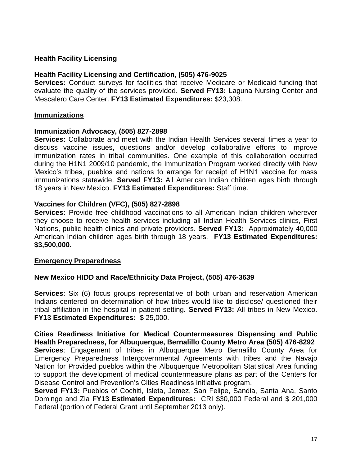## **Health Facility Licensing**

## **Health Facility Licensing and Certification, (505) 476-9025**

**Services:** Conduct surveys for facilities that receive Medicare or Medicaid funding that evaluate the quality of the services provided. **Served FY13:** Laguna Nursing Center and Mescalero Care Center. **FY13 Estimated Expenditures:** \$23,308.

## **Immunizations**

#### **Immunization Advocacy, (505) 827-2898**

**Services:** Collaborate and meet with the Indian Health Services several times a year to discuss vaccine issues, questions and/or develop collaborative efforts to improve immunization rates in tribal communities. One example of this collaboration occurred during the H1N1 2009/10 pandemic, the Immunization Program worked directly with New Mexico's tribes, pueblos and nations to arrange for receipt of H1N1 vaccine for mass immunizations statewide. **Served FY13:** All American Indian children ages birth through 18 years in New Mexico. **FY13 Estimated Expenditures:** Staff time.

## **Vaccines for Children (VFC), (505) 827-2898**

**Services:** Provide free childhood vaccinations to all American Indian children wherever they choose to receive health services including all Indian Health Services clinics, First Nations, public health clinics and private providers. **Served FY13:** Approximately 40,000 American Indian children ages birth through 18 years. **FY13 Estimated Expenditures: \$3,500,000.**

## **Emergency Preparedness**

## **New Mexico HIDD and Race/Ethnicity Data Project, (505) 476-3639**

**Services**: Six (6) focus groups representative of both urban and reservation American Indians centered on determination of how tribes would like to disclose/ questioned their tribal affiliation in the hospital in-patient setting. **Served FY13:** All tribes in New Mexico. **FY13 Estimated Expenditures:** \$ 25,000.

**Cities Readiness Initiative for Medical Countermeasures Dispensing and Public Health Preparedness, for Albuquerque, Bernalillo County Metro Area (505) 476-8292 Services**: Engagement of tribes in Albuquerque Metro Bernalillo County Area for Emergency Preparedness Intergovernmental Agreements with tribes and the Navajo Nation for Provided pueblos within the Albuquerque Metropolitan Statistical Area funding to support the development of medical countermeasure plans as part of the Centers for Disease Control and Prevention's Cities Readiness Initiative program.

**Served FY13:** Pueblos of Cochiti, Isleta, Jemez, San Felipe, Sandia, Santa Ana, Santo Domingo and Zia **FY13 Estimated Expenditures:** CRI \$30,000 Federal and \$ 201,000 Federal (portion of Federal Grant until September 2013 only).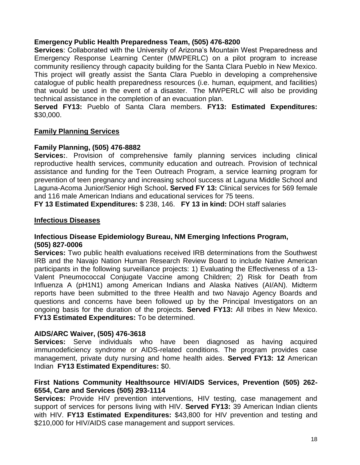## **Emergency Public Health Preparedness Team, (505) 476-8200**

**Services**: Collaborated with the University of Arizona's Mountain West Preparedness and Emergency Response Learning Center (MWPERLC) on a pilot program to increase community resiliency through capacity building for the Santa Clara Pueblo in New Mexico. This project will greatly assist the Santa Clara Pueblo in developing a comprehensive catalogue of public health preparedness resources (i.e. human, equipment, and facilities) that would be used in the event of a disaster. The MWPERLC will also be providing technical assistance in the completion of an evacuation plan.

**Served FY13:** Pueblo of Santa Clara members. **FY13: Estimated Expenditures:** \$30,000.

## **Family Planning Services**

## **Family Planning, (505) 476-8882**

**Services:**. Provision of comprehensive family planning services including clinical reproductive health services, community education and outreach. Provision of technical assistance and funding for the Teen Outreach Program, a service learning program for prevention of teen pregnancy and increasing school success at Laguna Middle School and Laguna-Acoma Junior/Senior High School**. Served FY 13:** Clinical services for 569 female and 116 male American Indians and educational services for 75 teens.

**FY 13 Estimated Expenditures:** \$ 238, 146. **FY 13 in kind:** DOH staff salaries

## **Infectious Diseases**

## **Infectious Disease Epidemiology Bureau, NM Emerging Infections Program, (505) 827-0006**

**Services:** Two public health evaluations received IRB determinations from the Southwest IRB and the Navajo Nation Human Research Review Board to include Native American participants in the following surveillance projects: 1) Evaluating the Effectiveness of a 13- Valent Pneumococcal Conjugate Vaccine among Children; 2) Risk for Death from Influenza A (pH1N1) among American Indians and Alaska Natives (AI/AN). Midterm reports have been submitted to the three Health and two Navajo Agency Boards and questions and concerns have been followed up by the Principal Investigators on an ongoing basis for the duration of the projects. **Served FY13:** All tribes in New Mexico. **FY13 Estimated Expenditures:** To be determined.

## **AIDS/ARC Waiver, (505) 476-3618**

**Services:** Serve individuals who have been diagnosed as having acquired immunodeficiency syndrome or AIDS-related conditions. The program provides case management, private duty nursing and home health aides. **Served FY13: 12** American Indian **FY13 Estimated Expenditures:** \$0.

## **First Nations Community Healthsource HIV/AIDS Services, Prevention (505) 262- 6554, Care and Services (505) 293-1114**

**Services:** Provide HIV prevention interventions, HIV testing, case management and support of services for persons living with HIV. **Served FY13:** 39 American Indian clients with HIV. **FY13 Estimated Expenditures:** \$43,800 for HIV prevention and testing and \$210,000 for HIV/AIDS case management and support services.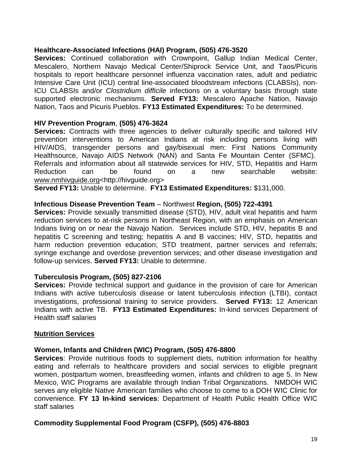## **Healthcare-Associated Infections (HAI) Program, (505) 476-3520**

Services: Continued collaboration with Crownpoint, Gallup Indian Medical Center, Mescalero, Northern Navajo Medical Center/Shiprock Service Unit, and Taos/Picuris hospitals to report healthcare personnel influenza vaccination rates, adult and pediatric Intensive Care Unit (ICU) central line-associated bloodstream infections (CLABSIs), non-ICU CLABSIs and/or *Clostridium difficile* infections on a voluntary basis through state supported electronic mechanisms. **Served FY13:** Mescalero Apache Nation, Navajo Nation, Taos and Picuris Pueblos. **FY13 Estimated Expenditures:** To be determined.

## **HIV Prevention Program**, **(505) 476-3624**

**Services:** Contracts with three agencies to deliver culturally specific and tailored HIV prevention interventions to American Indians at risk including persons living with HIV/AIDS, transgender persons and gay/bisexual men: First Nations Community Healthsource, Navajo AIDS Network (NAN) and Santa Fe Mountain Center (SFMC). Referrals and information about all statewide services for HIV, STD, Hepatitis and Harm Reduction can be found on a new searchable website: [www.nmhivguide.org<](http://www.nmhivguide.org/)http://hivguide.org>

**Served FY13:** Unable to determine. **FY13 Estimated Expenditures:** \$131,000.

## **Infectious Disease Prevention Team** – Northwest **Region, (505) 722-4391**

**Services:** Provide sexually transmitted disease (STD), HIV, adult viral hepatitis and harm reduction services to at-risk persons in Northeast Region, with an emphasis on American Indians living on or near the Navajo Nation. Services include STD, HIV, hepatitis B and hepatitis C screening and testing; hepatitis A and B vaccines; HIV, STD, hepatitis and harm reduction prevention education; STD treatment, partner services and referrals; syringe exchange and overdose prevention services; and other disease investigation and follow-up services. **Served FY13:** Unable to determine.

# **Tuberculosis Program, (505) 827-2106**

**Services:** Provide technical support and guidance in the provision of care for American Indians with active tuberculosis disease or latent tuberculosis infection (LTBI), contact investigations, professional training to service providers. **Served FY13:** 12 American Indians with active TB. **FY13 Estimated Expenditures:** In-kind services Department of Health staff salaries

## **Nutrition Services**

# **Women, Infants and Children (WIC) Program, (505) 476-8800**

**Services**: Provide nutritious foods to supplement diets, nutrition information for healthy eating and referrals to healthcare providers and social services to eligible pregnant women, postpartum women, breastfeeding women, infants and children to age 5. In New Mexico, WIC Programs are available through Indian Tribal Organizations. NMDOH WIC serves any eligible Native American families who choose to come to a DOH WIC Clinic for convenience. **FY 13 In-kind services**: Department of Health Public Health Office WIC staff salaries

# **Commodity Supplemental Food Program (CSFP), (505) 476-8803**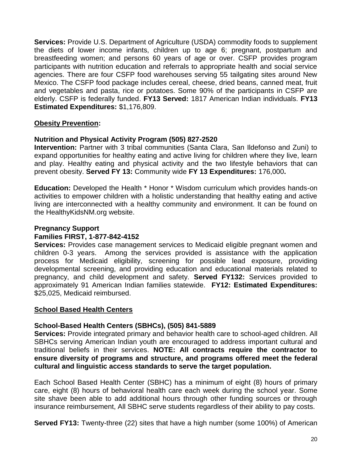**Services:** Provide U.S. Department of Agriculture (USDA) commodity foods to supplement the diets of lower income infants, children up to age 6; pregnant, postpartum and breastfeeding women; and persons 60 years of age or over. CSFP provides program participants with nutrition education and referrals to appropriate health and social service agencies. There are four CSFP food warehouses serving 55 tailgating sites around New Mexico. The CSFP food package includes cereal, cheese, dried beans, canned meat, fruit and vegetables and pasta, rice or potatoes. Some 90% of the participants in CSFP are elderly. CSFP is federally funded. **FY13 Served:** 1817 American Indian individuals. **FY13 Estimated Expenditures:** \$1,176,809.

## **Obesity Prevention:**

## **Nutrition and Physical Activity Program (505) 827-2520**

**Intervention:** Partner with 3 tribal communities (Santa Clara, San Ildefonso and Zuni) to expand opportunities for healthy eating and active living for children where they live, learn and play. Healthy eating and physical activity and the two lifestyle behaviors that can prevent obesity. **Served FY 13:** Community wide **FY 13 Expenditures:** 176,000**.** 

**Education:** Developed the Health \* Honor \* Wisdom curriculum which provides hands-on activities to empower children with a holistic understanding that healthy eating and active living are interconnected with a healthy community and environment. It can be found on the HealthyKidsNM.org website.

## **Pregnancy Support**

#### **Families FIRST, 1-877-842-4152**

**Services:** Provides case management services to Medicaid eligible pregnant women and children 0-3 years. Among the services provided is assistance with the application process for Medicaid eligibility, screening for possible lead exposure, providing developmental screening, and providing education and educational materials related to pregnancy, and child development and safety. **Served FY132:** Services provided to approximately 91 American Indian families statewide. **FY12: Estimated Expenditures:**  \$25,025, Medicaid reimbursed.

## **School Based Health Centers**

## **School-Based Health Centers (SBHCs), (505) 841-5889**

**Services:** Provide integrated primary and behavior health care to school-aged children. All SBHCs serving American Indian youth are encouraged to address important cultural and traditional beliefs in their services. **NOTE: All contracts require the contractor to ensure diversity of programs and structure, and programs offered meet the federal cultural and linguistic access standards to serve the target population.**

Each School Based Health Center (SBHC) has a minimum of eight (8) hours of primary care, eight (8) hours of behavioral health care each week during the school year. Some site shave been able to add additional hours through other funding sources or through insurance reimbursement, All SBHC serve students regardless of their ability to pay costs.

**Served FY13:** Twenty-three (22) sites that have a high number (some 100%) of American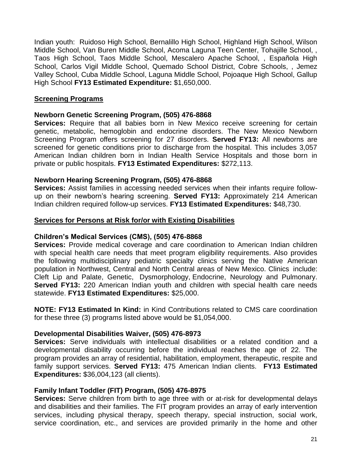Indian youth:Ruidoso High School, Bernalillo High School, Highland High School, Wilson Middle School, Van Buren Middle School, Acoma Laguna Teen Center, Tohajille School, , Taos High School, Taos Middle School, Mescalero Apache School, , Española High School, Carlos Vigil Middle School, Quemado School District, Cobre Schools, , Jemez Valley School, Cuba Middle School, Laguna Middle School, Pojoaque High School, Gallup High School **FY13 Estimated Expenditure:** \$1,650,000.

## **Screening Programs**

## **Newborn Genetic Screening Program, (505) 476-8868**

**Services:** Require that all babies born in New Mexico receive screening for certain genetic, metabolic, hemoglobin and endocrine disorders. The New Mexico Newborn Screening Program offers screening for 27 disorders. **Served FY13:** All newborns are screened for genetic conditions prior to discharge from the hospital. This includes 3,057 American Indian children born in Indian Health Service Hospitals and those born in private or public hospitals. **FY13 Estimated Expenditures:** \$272,113.

## **Newborn Hearing Screening Program, (505) 476-8868**

**Services:** Assist families in accessing needed services when their infants require followup on their newborn's hearing screening. **Served FY13:** Approximately 214 American Indian children required follow-up services. **FY13 Estimated Expenditures:** \$48,730.

## **Services for Persons at Risk for/or with Existing Disabilities**

#### **Children's Medical Services (CMS), (505) 476-8868**

**Services:** Provide medical coverage and care coordination to American Indian children with special health care needs that meet program eligibility requirements. Also provides the following multidisciplinary pediatric specialty clinics serving the Native American population in Northwest, Central and North Central areas of New Mexico. Clinics include: Cleft Lip and Palate, Genetic, Dysmorphology, Endocrine, Neurology and Pulmonary. **Served FY13:** 220 American Indian youth and children with special health care needs statewide. **FY13 Estimated Expenditures:** \$25,000.

**NOTE: FY13 Estimated In Kind:** in Kind Contributions related to CMS care coordination for these three (3) programs listed above would be \$1,054,000.

## **Developmental Disabilities Waiver, (505) 476-8973**

**Services:** Serve individuals with intellectual disabilities or a related condition and a developmental disability occurring before the individual reaches the age of 22. The program provides an array of residential, habilitation, employment, therapeutic, respite and family support services. **Served FY13:** 475 American Indian clients. **FY13 Estimated Expenditures:** \$36,004,123 (all clients).

## **Family Infant Toddler (FIT) Program, (505) 476-8975**

**Services:** Serve children from birth to age three with or at-risk for developmental delays and disabilities and their families. The FIT program provides an array of early intervention services, including physical therapy, speech therapy, special instruction, social work, service coordination, etc., and services are provided primarily in the home and other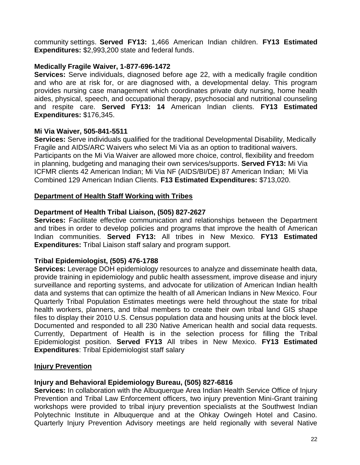community settings. **Served FY13:** 1,466 American Indian children. **FY13 Estimated Expenditures:** \$2,993,200 state and federal funds.

## **Medically Fragile Waiver, 1-877-696-1472**

**Services:** Serve individuals, diagnosed before age 22, with a medically fragile condition and who are at risk for, or are diagnosed with, a developmental delay. This program provides nursing case management which coordinates private duty nursing, home health aides, physical, speech, and occupational therapy, psychosocial and nutritional counseling and respite care. **Served FY13: 14** American Indian clients. **FY13 Estimated Expenditures:** \$176,345.

## **Mi Via Waiver, 505-841-5511**

**Services:** Serve individuals qualified for the traditional Developmental Disability, Medically Fragile and AIDS/ARC Waivers who select Mi Via as an option to traditional waivers. Participants on the Mi Via Waiver are allowed more choice, control, flexibility and freedom in planning, budgeting and managing their own services/supports. **Served FY13:** Mi Via ICFMR clients 42 American Indian; Mi Via NF (AIDS/BI/DE) 87 American Indian; Mi Via Combined 129 American Indian Clients. **F13 Estimated Expenditures:** \$713,020.

# **Department of Health Staff Working with Tribes**

## **Department of Health Tribal Liaison, (505) 827-2627**

**Services:** Facilitate effective communication and relationships between the Department and tribes in order to develop policies and programs that improve the health of American Indian communities. **Served FY13:** All tribes in New Mexico. **FY13 Estimated Expenditures:** Tribal Liaison staff salary and program support.

## **Tribal Epidemiologist, (505) 476-1788**

**Services:** Leverage DOH epidemiology resources to analyze and disseminate health data, provide training in epidemiology and public health assessment, improve disease and injury surveillance and reporting systems, and advocate for utilization of American Indian health data and systems that can optimize the health of all American Indians in New Mexico. Four Quarterly Tribal Population Estimates meetings were held throughout the state for tribal health workers, planners, and tribal members to create their own tribal land GIS shape files to display their 2010 U.S. Census population data and housing units at the block level. Documented and responded to all 230 Native American health and social data requests. Currently, Department of Health is in the selection process for filling the Tribal Epidemiologist position. **Served FY13** All tribes in New Mexico. **FY13 Estimated Expenditures**: Tribal Epidemiologist staff salary

## **Injury Prevention**

## **Injury and Behavioral Epidemiology Bureau, (505) 827-6816**

**Services:** In collaboration with the Albuquerque Area Indian Health Service Office of Injury Prevention and Tribal Law Enforcement officers, two injury prevention Mini-Grant training workshops were provided to tribal injury prevention specialists at the Southwest Indian Polytechnic Institute in Albuquerque and at the Ohkay Owingeh Hotel and Casino. Quarterly Injury Prevention Advisory meetings are held regionally with several Native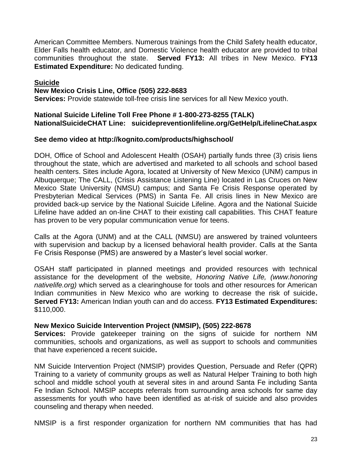American Committee Members. Numerous trainings from the Child Safety health educator, Elder Falls health educator, and Domestic Violence health educator are provided to tribal communities throughout the state. **Served FY13:** All tribes in New Mexico. **FY13 Estimated Expenditure:** No dedicated funding.

## **Suicide**

#### **New Mexico Crisis Line, Office (505) 222-8683**

**Services:** Provide statewide toll-free crisis line services for all New Mexico youth.

#### **National Suicide Lifeline Toll Free Phone # 1-800-273-8255 (TALK) NationalSuicideCHAT Line: suicidepreventionlifeline.org/GetHelp/LifelineChat.aspx**

#### **See demo video at http://kognito.com/products/highschool/**

DOH, Office of School and Adolescent Health (OSAH) partially funds three (3) crisis liens throughout the state, which are advertised and marketed to all schools and school based health centers. Sites include Agora, located at University of New Mexico (UNM) campus in Albuquerque; The CALL, (Crisis Assistance Listening Line) located in Las Cruces on New Mexico State University (NMSU) campus; and Santa Fe Crisis Response operated by Presbyterian Medical Services (PMS) in Santa Fe. All crisis lines in New Mexico are provided back-up service by the National Suicide Lifeline. Agora and the National Suicide Lifeline have added an on-line CHAT to their existing call capabilities. This CHAT feature has proven to be very popular communication venue for teens.

Calls at the Agora (UNM) and at the CALL (NMSU) are answered by trained volunteers with supervision and backup by a licensed behavioral health provider. Calls at the Santa Fe Crisis Response (PMS) are answered by a Master's level social worker.

OSAH staff participated in planned meetings and provided resources with technical assistance for the development of the website, *Honoring Native Life, (www.honoring nativelife.org)* which served as a clearinghouse for tools and other resources for American Indian communities in New Mexico who are working to decrease the risk of suicide**. Served FY13:** American Indian youth can and do access. **FY13 Estimated Expenditures:** \$110,000.

#### **New Mexico Suicide Intervention Project (NMSIP), (505) 222-8678**

**Services:** Provide gatekeeper training on the signs of suicide for northern NM communities, schools and organizations, as well as support to schools and communities that have experienced a recent suicide**.** 

NM Suicide Intervention Project (NMSIP) provides Question, Persuade and Refer (QPR) Training to a variety of community groups as well as Natural Helper Training to both high school and middle school youth at several sites in and around Santa Fe including Santa Fe Indian School. NMSIP accepts referrals from surrounding area schools for same day assessments for youth who have been identified as at-risk of suicide and also provides counseling and therapy when needed.

NMSIP is a first responder organization for northern NM communities that has had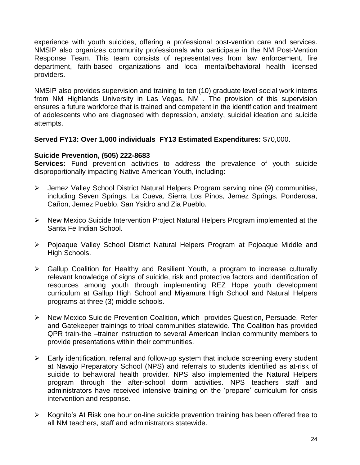experience with youth suicides, offering a professional post-vention care and services. NMSIP also organizes community professionals who participate in the NM Post-Vention Response Team. This team consists of representatives from law enforcement, fire department, faith-based organizations and local mental/behavioral health licensed providers.

NMSIP also provides supervision and training to ten (10) graduate level social work interns from NM Highlands University in Las Vegas, NM . The provision of this supervision ensures a future workforce that is trained and competent in the identification and treatment of adolescents who are diagnosed with depression, anxiety, suicidal ideation and suicide attempts.

## **Served FY13: Over 1,000 individuals FY13 Estimated Expenditures:** \$70,000.

## **Suicide Prevention, (505) 222-8683**

**Services:** Fund prevention activities to address the prevalence of youth suicide disproportionally impacting Native American Youth, including:

- Jemez Valley School District Natural Helpers Program serving nine (9) communities, including Seven Springs, La Cueva, Sierra Los Pinos, Jemez Springs, Ponderosa, Cañon, Jemez Pueblo, San Ysidro and Zia Pueblo.
- New Mexico Suicide Intervention Project Natural Helpers Program implemented at the Santa Fe Indian School.
- Pojoaque Valley School District Natural Helpers Program at Pojoaque Middle and High Schools.
- Gallup Coalition for Healthy and Resilient Youth, a program to increase culturally relevant knowledge of signs of suicide, risk and protective factors and identification of resources among youth through implementing REZ Hope youth development curriculum at Gallup High School and Miyamura High School and Natural Helpers programs at three (3) middle schools.
- New Mexico Suicide Prevention Coalition, which provides Question, Persuade, Refer and Gatekeeper trainings to tribal communities statewide. The Coalition has provided QPR train-the –trainer instruction to several American Indian community members to provide presentations within their communities.
- $\triangleright$  Early identification, referral and follow-up system that include screening every student at Navajo Preparatory School (NPS) and referrals to students identified as at-risk of suicide to behavioral health provider. NPS also implemented the Natural Helpers program through the after-school dorm activities. NPS teachers staff and administrators have received intensive training on the 'prepare' curriculum for crisis intervention and response.
- $\triangleright$  Kognito's At Risk one hour on-line suicide prevention training has been offered free to all NM teachers, staff and administrators statewide.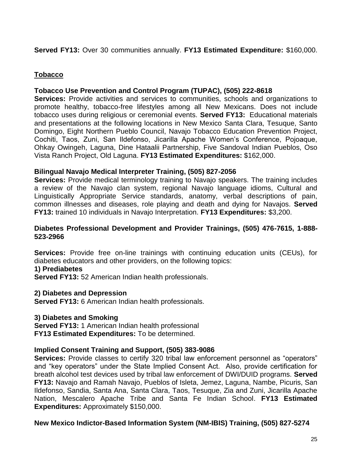# **Served FY13:** Over 30 communities annually. **FY13 Estimated Expenditure:** \$160,000.

## **Tobacco**

## **Tobacco Use Prevention and Control Program (TUPAC), (505) 222-8618**

**Services:** Provide activities and services to communities, schools and organizations to promote healthy, tobacco-free lifestyles among all New Mexicans. Does not include tobacco uses during religious or ceremonial events. **Served FY13:** Educational materials and presentations at the following locations in New Mexico Santa Clara, Tesuque, Santo Domingo, Eight Northern Pueblo Council, Navajo Tobacco Education Prevention Project, Cochiti, Taos, Zuni, San Ildefonso, Jicarilla Apache Women's Conference, Pojoaque, Ohkay Owingeh, Laguna, Dine Hataalii Partnership, Five Sandoval Indian Pueblos, Oso Vista Ranch Project, Old Laguna. **FY13 Estimated Expenditures:** \$162,000.

## **Bilingual Navajo Medical Interpreter Training, (505) 827-2056**

**Services:** Provide medical terminology training to Navajo speakers. The training includes a review of the Navajo clan system, regional Navajo language idioms, Cultural and Linguistically Appropriate Service standards, anatomy, verbal descriptions of pain, common illnesses and diseases, role playing and death and dying for Navajos. **Served FY13:** trained 10 individuals in Navajo Interpretation. **FY13 Expenditures:** \$3,200.

## **Diabetes Professional Development and Provider Trainings, (505) 476-7615, 1-888- 523-2966**

**Services:** Provide free on-line trainings with continuing education units (CEUs), for diabetes educators and other providers, on the following topics:

## **1) Prediabetes**

**Served FY13:** 52 American Indian health professionals.

## **2) Diabetes and Depression**

**Served FY13:** 6 American Indian health professionals.

## **3) Diabetes and Smoking**

**Served FY13:** 1 American Indian health professional **FY13 Estimated Expenditures:** To be determined.

## **Implied Consent Training and Support, (505) 383-9086**

**Services:** Provide classes to certify 320 tribal law enforcement personnel as "operators" and "key operators" under the State Implied Consent Act. Also, provide certification for breath alcohol test devices used by tribal law enforcement of DWI/DUID programs. **Served FY13:** Navajo and Ramah Navajo, Pueblos of Isleta, Jemez, Laguna, Nambe, Picuris, San Ildefonso, Sandia, Santa Ana, Santa Clara, Taos, Tesuque, Zia and Zuni, Jicarilla Apache Nation, Mescalero Apache Tribe and Santa Fe Indian School. **FY13 Estimated Expenditures:** Approximately \$150,000.

## **New Mexico Indictor-Based Information System (NM-IBIS) Training, (505) 827-5274**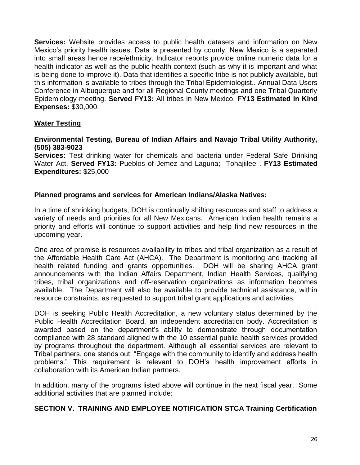**Services:** Website provides access to public health datasets and information on New Mexico's priority health issues. Data is presented by county, New Mexico is a separated into small areas hence race/ethnicity. Indicator reports provide online numeric data for a health indicator as well as the public health context (such as why it is important and what is being done to improve it). Data that identifies a specific tribe is not publicly available, but this information is available to tribes through the Tribal Epidemiologist.. Annual Data Users Conference in Albuquerque and for all Regional County meetings and one Tribal Quarterly Epidemiology meeting. **Served FY13:** All tribes in New Mexico. **FY13 Estimated In Kind Expenses:** \$30,000.

## **Water Testing**

## **Environmental Testing, Bureau of Indian Affairs and Navajo Tribal Utility Authority, (505) 383-9023**

**Services:** Test drinking water for chemicals and bacteria under Federal Safe Drinking Water Act. **Served FY13:** Pueblos of Jemez and Laguna; Tohajiilee . **FY13 Estimated Expenditures:** \$25,000

## **Planned programs and services for American Indians/Alaska Natives:**

In a time of shrinking budgets, DOH is continually shifting resources and staff to address a variety of needs and priorities for all New Mexicans. American Indian health remains a priority and efforts will continue to support activities and help find new resources in the upcoming year.

One area of promise is resources availability to tribes and tribal organization as a result of the Affordable Health Care Act (AHCA). The Department is monitoring and tracking all health related funding and grants opportunities. DOH will be sharing AHCA grant announcements with the Indian Affairs Department, Indian Health Services, qualifying tribes, tribal organizations and off-reservation organizations as information becomes available. The Department will also be available to provide technical assistance, within resource constraints, as requested to support tribal grant applications and activities.

DOH is seeking Public Health Accreditation, a new voluntary status determined by the Public Health Accreditation Board, an independent accreditation body. Accreditation is awarded based on the department's ability to demonstrate through documentation compliance with 28 standard aligned with the 10 essential public health services provided by programs throughout the department. Although all essential services are relevant to Tribal partners, one stands out: "Engage with the community to identify and address health problems." This requirement is relevant to DOH's health improvement efforts in collaboration with its American Indian partners.

In addition, many of the programs listed above will continue in the next fiscal year. Some additional activities that are planned include:

## **SECTION V. TRAINING AND EMPLOYEE NOTIFICATION STCA Training Certification**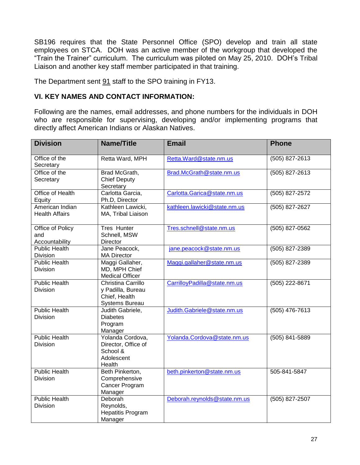SB196 requires that the State Personnel Office (SPO) develop and train all state employees on STCA. DOH was an active member of the workgroup that developed the "Train the Trainer" curriculum. The curriculum was piloted on May 25, 2010. DOH's Tribal Liaison and another key staff member participated in that training.

The Department sent 91 staff to the SPO training in FY13.

## **VI. KEY NAMES AND CONTACT INFORMATION:**

Following are the names, email addresses, and phone numbers for the individuals in DOH who are responsible for supervising, developing and/or implementing programs that directly affect American Indians or Alaskan Natives.

| <b>Division</b>                           | <b>Name/Title</b>                                                                 | <b>Email</b>                 | <b>Phone</b>     |
|-------------------------------------------|-----------------------------------------------------------------------------------|------------------------------|------------------|
| Office of the<br>Secretary                | Retta Ward, MPH                                                                   | Retta.Ward@state.nm.us       | (505) 827-2613   |
| Office of the<br>Secretary                | Brad McGrath,<br><b>Chief Deputy</b><br>Secretary                                 | Brad.McGrath@state.nm.us     | (505) 827-2613   |
| <b>Office of Health</b><br>Equity         | Carlotta Garcia,<br>Ph.D, Director                                                | Carlotta.Garica@state.nm.us  | $(505)$ 827-2572 |
| American Indian<br><b>Health Affairs</b>  | Kathleen Lawicki,<br>MA, Tribal Liaison                                           | kathleen.lawicki@state.nm.us | (505) 827-2627   |
| Office of Policy<br>and<br>Accountability | <b>Tres Hunter</b><br>Schnell, MSW<br>Director                                    | Tres.schnell@state.nm.us     | (505) 827-0562   |
| <b>Public Health</b><br><b>Division</b>   | Jane Peacock,<br><b>MA Director</b>                                               | jane.peacock@state.nm.us     | (505) 827-2389   |
| <b>Public Health</b><br><b>Division</b>   | Maggi Gallaher,<br>MD, MPH Chief<br><b>Medical Officer</b>                        | Maggi.gallaher@state.nm.us   | (505) 827-2389   |
| <b>Public Health</b><br><b>Division</b>   | Christina Carrillo<br>y Padilla, Bureau<br>Chief, Health<br><b>Systems Bureau</b> | CarrilloyPadilla@state.nm.us | (505) 222-8671   |
| <b>Public Health</b><br><b>Division</b>   | Judith Gabriele,<br><b>Diabetes</b><br>Program<br>Manager                         | Judith.Gabriele@state.nm.us  | (505) 476-7613   |
| <b>Public Health</b><br><b>Division</b>   | Yolanda Cordova,<br>Director, Office of<br>School &<br>Adolescent<br>Health       | Yolanda.Cordova@state.nm.us  | (505) 841-5889   |
| <b>Public Health</b><br><b>Division</b>   | Beth Pinkerton,<br>Comprehensive<br>Cancer Program<br>Manager                     | beth.pinkerton@state.nm.us   | 505-841-5847     |
| <b>Public Health</b><br><b>Division</b>   | Deborah<br>Reynolds,<br><b>Hepatitis Program</b><br>Manager                       | Deborah.reynolds@state.nm.us | (505) 827-2507   |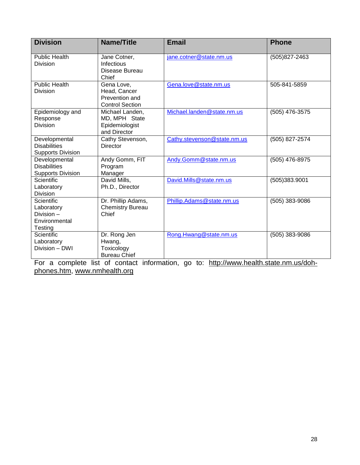| <b>Division</b>                                                           | <b>Name/Title</b>                                                      | <b>Email</b>                | <b>Phone</b>   |
|---------------------------------------------------------------------------|------------------------------------------------------------------------|-----------------------------|----------------|
| <b>Public Health</b><br>Division                                          | Jane Cotner,<br>Infectious<br>Disease Bureau<br>Chief                  | jane.cotner@state.nm.us     | (505) 827-2463 |
| <b>Public Health</b><br>Division                                          | Gena Love,<br>Head, Cancer<br>Prevention and<br><b>Control Section</b> | Gena.love@state.nm.us       | 505-841-5859   |
| Epidemiology and<br>Response<br><b>Division</b>                           | Michael Landen,<br>MD, MPH State<br>Epidemiologist<br>and Director     | Michael.landen@state.nm.us  | (505) 476-3575 |
| Developmental<br><b>Disabilities</b><br><b>Supports Division</b>          | Cathy Stevenson,<br>Director                                           | Cathy.stevenson@state.nm.us | (505) 827-2574 |
| Developmental<br><b>Disabilities</b><br><b>Supports Division</b>          | Andy Gomm, FIT<br>Program<br>Manager                                   | Andy.Gomm@state.nm.us       | (505) 476-8975 |
| Scientific<br>Laboratory<br><b>Division</b>                               | David Mills,<br>Ph.D., Director                                        | David.Mills@state.nm.us     | (505)383.9001  |
| <b>Scientific</b><br>Laboratory<br>Division -<br>Environmental<br>Testing | Dr. Phillip Adams,<br><b>Chemistry Bureau</b><br>Chief                 | Phillip.Adams@state.nm.us   | (505) 383-9086 |
| Scientific<br>Laboratory<br>Division - DWI                                | Dr. Rong Jen<br>Hwang,<br>Toxicology<br><b>Bureau Chief</b>            | Rong.Hwang@state.nm.us      | (505) 383-9086 |

For a complete list of contact information, go to: [http://www.health.state.nm.us/doh](http://www.health.state.nm.us/doh-phones.htm)[phones.htm,](http://www.health.state.nm.us/doh-phones.htm) [www.nmhealth.org](http://www.nmhealth.org/)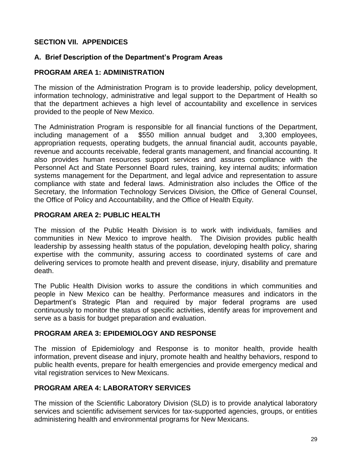# **SECTION VII. APPENDICES**

# **A. Brief Description of the Department's Program Areas**

## **PROGRAM AREA 1: ADMINISTRATION**

The mission of the Administration Program is to provide leadership, policy development, information technology, administrative and legal support to the Department of Health so that the department achieves a high level of accountability and excellence in services provided to the people of New Mexico.

The Administration Program is responsible for all financial functions of the Department, including management of a \$550 million annual budget and 3,300 employees, appropriation requests, operating budgets, the annual financial audit, accounts payable, revenue and accounts receivable, federal grants management, and financial accounting. It also provides human resources support services and assures compliance with the Personnel Act and State Personnel Board rules, training, key internal audits; information systems management for the Department, and legal advice and representation to assure compliance with state and federal laws. Administration also includes the Office of the Secretary, the Information Technology Services Division, the Office of General Counsel, the Office of Policy and Accountability, and the Office of Health Equity.

## **PROGRAM AREA 2: PUBLIC HEALTH**

The mission of the Public Health Division is to work with individuals, families and communities in New Mexico to improve health. The Division provides public health leadership by assessing health status of the population, developing health policy, sharing expertise with the community, assuring access to coordinated systems of care and delivering services to promote health and prevent disease, injury, disability and premature death.

The Public Health Division works to assure the conditions in which communities and people in New Mexico can be healthy. Performance measures and indicators in the Department's Strategic Plan and required by major federal programs are used continuously to monitor the status of specific activities, identify areas for improvement and serve as a basis for budget preparation and evaluation.

## **PROGRAM AREA 3: EPIDEMIOLOGY AND RESPONSE**

The mission of Epidemiology and Response is to monitor health, provide health information, prevent disease and injury, promote health and healthy behaviors, respond to public health events, prepare for health emergencies and provide emergency medical and vital registration services to New Mexicans.

# **PROGRAM AREA 4: LABORATORY SERVICES**

The mission of the Scientific Laboratory Division (SLD) is to provide analytical laboratory services and scientific advisement services for tax-supported agencies, groups, or entities administering health and environmental programs for New Mexicans.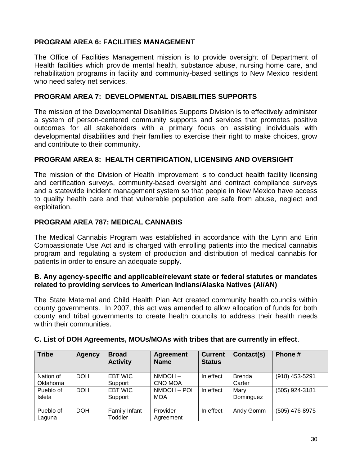# **PROGRAM AREA 6: FACILITIES MANAGEMENT**

The Office of Facilities Management mission is to provide oversight of Department of Health facilities which provide mental health, substance abuse, nursing home care, and rehabilitation programs in facility and community-based settings to New Mexico resident who need safety net services.

## **PROGRAM AREA 7: DEVELOPMENTAL DISABILITIES SUPPORTS**

The mission of the Developmental Disabilities Supports Division is to effectively administer a system of person-centered community supports and services that promotes positive outcomes for all stakeholders with a primary focus on assisting individuals with developmental disabilities and their families to exercise their right to make choices, grow and contribute to their community.

## **PROGRAM AREA 8: HEALTH CERTIFICATION, LICENSING AND OVERSIGHT**

The mission of the Division of Health Improvement is to conduct health facility licensing and certification surveys, community-based oversight and contract compliance surveys and a statewide incident management system so that people in New Mexico have access to quality health care and that vulnerable population are safe from abuse, neglect and exploitation.

## **PROGRAM AREA 787: MEDICAL CANNABIS**

The Medical Cannabis Program was established in accordance with the Lynn and Erin Compassionate Use Act and is charged with enrolling patients into the medical cannabis program and regulating a system of production and distribution of medical cannabis for patients in order to ensure an adequate supply.

#### **B. Any agency-specific and applicable/relevant state or federal statutes or mandates related to providing services to American Indians/Alaska Natives (AI/AN)**

The State Maternal and Child Health Plan Act created community health councils within county governments. In 2007, this act was amended to allow allocation of funds for both county and tribal governments to create health councils to address their health needs within their communities.

| <b>Tribe</b>          | Agency     | <b>Broad</b><br><b>Activity</b> | <b>Agreement</b><br><b>Name</b> | <b>Current</b><br><b>Status</b> | Contact(s)              | Phone #        |
|-----------------------|------------|---------------------------------|---------------------------------|---------------------------------|-------------------------|----------------|
| Nation of<br>Oklahoma | <b>DOH</b> | <b>EBT WIC</b><br>Support       | NMDOH-<br>CNO MOA               | In effect                       | <b>Brenda</b><br>Carter | (918) 453-5291 |
| Pueblo of<br>Isleta   | <b>DOH</b> | <b>EBT WIC</b><br>Support       | NMDOH - POI<br><b>MOA</b>       | In effect                       | Mary<br>Dominguez       | (505) 924-3181 |
| Pueblo of<br>Laguna   | <b>DOH</b> | Family Infant<br>Toddler        | Provider<br>Agreement           | In effect                       | Andy Gomm               | (505) 476-8975 |

## **C. List of DOH Agreements, MOUs/MOAs with tribes that are currently in effect**.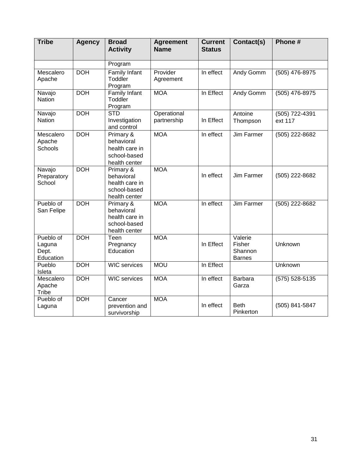| <b>Tribe</b>                              | <b>Agency</b> | <b>Broad</b><br><b>Activity</b>                                            | <b>Agreement</b><br><b>Name</b> | <b>Current</b><br><b>Status</b> | Contact(s)                                    | Phone #                   |
|-------------------------------------------|---------------|----------------------------------------------------------------------------|---------------------------------|---------------------------------|-----------------------------------------------|---------------------------|
|                                           |               | Program                                                                    |                                 |                                 |                                               |                           |
| Mescalero<br>Apache                       | <b>DOH</b>    | Family Infant<br>Toddler<br>Program                                        | Provider<br>Agreement           | In effect                       | Andy Gomm                                     | (505) 476-8975            |
| Navajo<br>Nation                          | <b>DOH</b>    | Family Infant<br>Toddler<br>Program                                        | <b>MOA</b>                      | In Effect                       | Andy Gomm                                     | (505) 476-8975            |
| Navajo<br>Nation                          | <b>DOH</b>    | <b>STD</b><br>Investigation<br>and control                                 | Operational<br>partnership      | In Effect                       | Antoine<br>Thompson                           | (505) 722-4391<br>ext 117 |
| Mescalero<br>Apache<br>Schools            | <b>DOH</b>    | Primary &<br>behavioral<br>health care in<br>school-based<br>health center | <b>MOA</b>                      | In effect                       | Jim Farmer                                    | (505) 222-8682            |
| Navajo<br>Preparatory<br>School           | <b>DOH</b>    | Primary &<br>behavioral<br>health care in<br>school-based<br>health center | <b>MOA</b>                      | In effect                       | Jim Farmer                                    | (505) 222-8682            |
| Pueblo of<br>San Felipe                   | <b>DOH</b>    | Primary &<br>behavioral<br>health care in<br>school-based<br>health center | <b>MOA</b>                      | In effect                       | Jim Farmer                                    | (505) 222-8682            |
| Pueblo of<br>Laguna<br>Dept.<br>Education | <b>DOH</b>    | Teen<br>Pregnancy<br>Education                                             | <b>MOA</b>                      | In Effect                       | Valerie<br>Fisher<br>Shannon<br><b>Barnes</b> | Unknown                   |
| Pueblo<br>Isleta                          | <b>DOH</b>    | <b>WIC</b> services                                                        | <b>MOU</b>                      | In Effect                       |                                               | Unknown                   |
| Mescalero<br>Apache<br>Tribe              | <b>DOH</b>    | <b>WIC</b> services                                                        | <b>MOA</b>                      | In effect                       | Barbara<br>Garza                              | (575) 528-5135            |
| Pueblo of<br>Laguna                       | <b>DOH</b>    | Cancer<br>prevention and<br>survivorship                                   | <b>MOA</b>                      | In effect                       | <b>Beth</b><br>Pinkerton                      | (505) 841-5847            |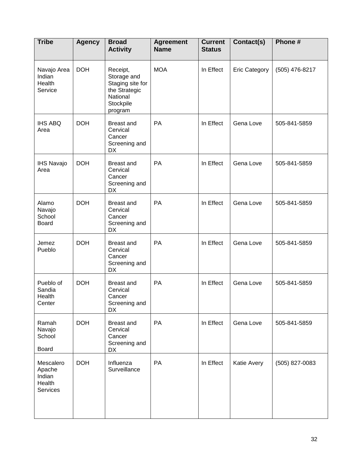| <b>Tribe</b>                                        | <b>Agency</b> | <b>Broad</b><br><b>Activity</b>                                                                  | <b>Agreement</b><br><b>Name</b> | <b>Current</b><br><b>Status</b> | Contact(s)           | Phone #        |
|-----------------------------------------------------|---------------|--------------------------------------------------------------------------------------------------|---------------------------------|---------------------------------|----------------------|----------------|
| Navajo Area<br>Indian<br>Health<br>Service          | <b>DOH</b>    | Receipt,<br>Storage and<br>Staging site for<br>the Strategic<br>National<br>Stockpile<br>program | <b>MOA</b>                      | In Effect                       | <b>Eric Category</b> | (505) 476-8217 |
| <b>IHS ABQ</b><br>Area                              | <b>DOH</b>    | Breast and<br>Cervical<br>Cancer<br>Screening and<br>DX                                          | PA                              | In Effect                       | Gena Love            | 505-841-5859   |
| <b>IHS Navajo</b><br>Area                           | <b>DOH</b>    | <b>Breast and</b><br>Cervical<br>Cancer<br>Screening and<br><b>DX</b>                            | PA                              | In Effect                       | Gena Love            | 505-841-5859   |
| Alamo<br>Navajo<br>School<br><b>Board</b>           | <b>DOH</b>    | <b>Breast and</b><br>Cervical<br>Cancer<br>Screening and<br>DX                                   | PA                              | In Effect                       | Gena Love            | 505-841-5859   |
| Jemez<br>Pueblo                                     | <b>DOH</b>    | Breast and<br>Cervical<br>Cancer<br>Screening and<br>DX                                          | PA                              | In Effect                       | Gena Love            | 505-841-5859   |
| Pueblo of<br>Sandia<br>Health<br>Center             | <b>DOH</b>    | <b>Breast and</b><br>Cervical<br>Cancer<br>Screening and<br>DX                                   | PA                              | In Effect                       | Gena Love            | 505-841-5859   |
| Ramah<br>Navajo<br>School<br>Board                  | <b>DOH</b>    | Breast and<br>Cervical<br>Cancer<br>Screening and<br>DX                                          | PA                              | In Effect                       | Gena Love            | 505-841-5859   |
| Mescalero<br>Apache<br>Indian<br>Health<br>Services | <b>DOH</b>    | Influenza<br>Surveillance                                                                        | PA                              | In Effect                       | Katie Avery          | (505) 827-0083 |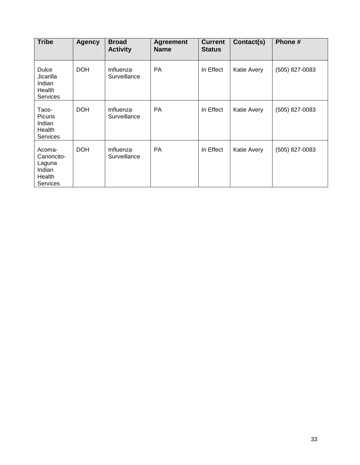| <b>Tribe</b>                                                          | <b>Agency</b> | <b>Broad</b><br><b>Activity</b> | <b>Agreement</b><br><b>Name</b> | <b>Current</b><br><b>Status</b> | Contact(s)  | Phone#         |
|-----------------------------------------------------------------------|---------------|---------------------------------|---------------------------------|---------------------------------|-------------|----------------|
| Dulce<br>Jicarilla<br>Indian<br>Health<br>Services                    | <b>DOH</b>    | Influenza<br>Surveillance       | PA                              | In Effect                       | Katie Avery | (505) 827-0083 |
| Taos-<br><b>Picuris</b><br>Indian<br>Health<br><b>Services</b>        | <b>DOH</b>    | Influenza<br>Surveillance       | <b>PA</b>                       | In Effect                       | Katie Avery | (505) 827-0083 |
| Acoma-<br>Canoncito-<br>Laguna<br>Indian<br>Health<br><b>Services</b> | <b>DOH</b>    | Influenza<br>Surveillance       | PA                              | In Effect                       | Katie Avery | (505) 827-0083 |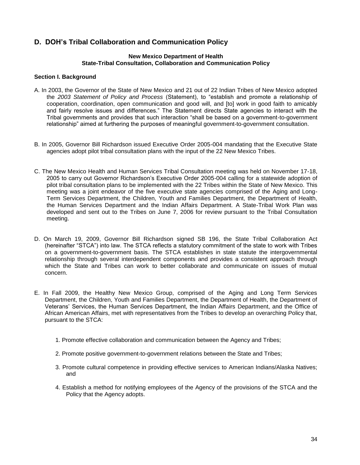## **D. DOH's Tribal Collaboration and Communication Policy**

#### **New Mexico Department of Health State-Tribal Consultation, Collaboration and Communication Policy**

#### **Section I. Background**

- A. In 2003, the Governor of the State of New Mexico and 21 out of 22 Indian Tribes of New Mexico adopted the *2003 Statement of Policy and Process* (Statement), to "establish and promote a relationship of cooperation, coordination, open communication and good will, and [to] work in good faith to amicably and fairly resolve issues and differences." The Statement directs State agencies to interact with the Tribal governments and provides that such interaction "shall be based on a government-to-government relationship" aimed at furthering the purposes of meaningful government-to-government consultation.
- B. In 2005, Governor Bill Richardson issued Executive Order 2005-004 mandating that the Executive State agencies adopt pilot tribal consultation plans with the input of the 22 New Mexico Tribes.
- C. The New Mexico Health and Human Services Tribal Consultation meeting was held on November 17-18, 2005 to carry out Governor Richardson's Executive Order 2005-004 calling for a statewide adoption of pilot tribal consultation plans to be implemented with the 22 Tribes within the State of New Mexico. This meeting was a joint endeavor of the five executive state agencies comprised of the Aging and Long-Term Services Department, the Children, Youth and Families Department, the Department of Health, the Human Services Department and the Indian Affairs Department. A State-Tribal Work Plan was developed and sent out to the Tribes on June 7, 2006 for review pursuant to the Tribal Consultation meeting.
- D. On March 19, 2009, Governor Bill Richardson signed SB 196, the State Tribal Collaboration Act (hereinafter "STCA") into law. The STCA reflects a statutory commitment of the state to work with Tribes on a government-to-government basis. The STCA establishes in state statute the intergovernmental relationship through several interdependent components and provides a consistent approach through which the State and Tribes can work to better collaborate and communicate on issues of mutual concern.
- E. In Fall 2009, the Healthy New Mexico Group, comprised of the Aging and Long Term Services Department, the Children, Youth and Families Department, the Department of Health, the Department of Veterans' Services, the Human Services Department, the Indian Affairs Department, and the Office of African American Affairs, met with representatives from the Tribes to develop an overarching Policy that, pursuant to the STCA:
	- 1. Promote effective collaboration and communication between the Agency and Tribes;
	- 2. Promote positive government-to-government relations between the State and Tribes;
	- 3. Promote cultural competence in providing effective services to American Indians/Alaska Natives; and
	- 4. Establish a method for notifying employees of the Agency of the provisions of the STCA and the Policy that the Agency adopts.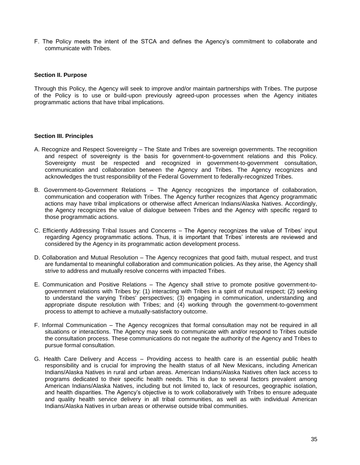F. The Policy meets the intent of the STCA and defines the Agency's commitment to collaborate and communicate with Tribes.

#### **Section II. Purpose**

Through this Policy, the Agency will seek to improve and/or maintain partnerships with Tribes. The purpose of the Policy is to use or build-upon previously agreed-upon processes when the Agency initiates programmatic actions that have tribal implications.

#### **Section III. Principles**

- A. Recognize and Respect Sovereignty The State and Tribes are sovereign governments. The recognition and respect of sovereignty is the basis for government-to-government relations and this Policy. Sovereignty must be respected and recognized in government-to-government consultation, communication and collaboration between the Agency and Tribes. The Agency recognizes and acknowledges the trust responsibility of the Federal Government to federally-recognized Tribes.
- B. Government-to-Government Relations The Agency recognizes the importance of collaboration, communication and cooperation with Tribes. The Agency further recognizes that Agency programmatic actions may have tribal implications or otherwise affect American Indians/Alaska Natives. Accordingly, the Agency recognizes the value of dialogue between Tribes and the Agency with specific regard to those programmatic actions.
- C. Efficiently Addressing Tribal Issues and Concerns The Agency recognizes the value of Tribes' input regarding Agency programmatic actions. Thus, it is important that Tribes' interests are reviewed and considered by the Agency in its programmatic action development process.
- D. Collaboration and Mutual Resolution The Agency recognizes that good faith, mutual respect, and trust are fundamental to meaningful collaboration and communication policies. As they arise, the Agency shall strive to address and mutually resolve concerns with impacted Tribes.
- E. Communication and Positive Relations The Agency shall strive to promote positive government-togovernment relations with Tribes by: (1) interacting with Tribes in a spirit of mutual respect; (2) seeking to understand the varying Tribes' perspectives; (3) engaging in communication, understanding and appropriate dispute resolution with Tribes; and (4) working through the government-to-government process to attempt to achieve a mutually-satisfactory outcome.
- F. Informal Communication The Agency recognizes that formal consultation may not be required in all situations or interactions. The Agency may seek to communicate with and/or respond to Tribes outside the consultation process. These communications do not negate the authority of the Agency and Tribes to pursue formal consultation.
- G. Health Care Delivery and Access Providing access to health care is an essential public health responsibility and is crucial for improving the health status of all New Mexicans, including American Indians/Alaska Natives in rural and urban areas. American Indians/Alaska Natives often lack access to programs dedicated to their specific health needs. This is due to several factors prevalent among American Indians/Alaska Natives, including but not limited to, lack of resources, geographic isolation, and health disparities. The Agency's objective is to work collaboratively with Tribes to ensure adequate and quality health service delivery in all tribal communities, as well as with individual American Indians/Alaska Natives in urban areas or otherwise outside tribal communities.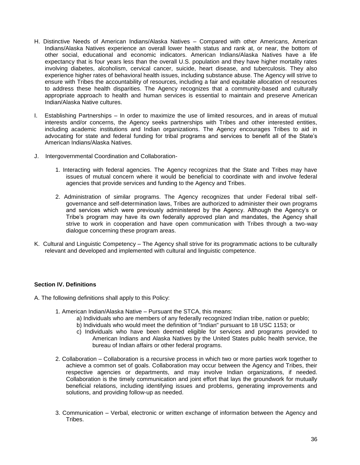- H. Distinctive Needs of American Indians/Alaska Natives Compared with other Americans, American Indians/Alaska Natives experience an overall lower health status and rank at, or near, the bottom of other social, educational and economic indicators. American Indians/Alaska Natives have a life expectancy that is four years less than the overall U.S. population and they have higher mortality rates involving diabetes, alcoholism, cervical cancer, suicide, heart disease, and tuberculosis. They also experience higher rates of behavioral health issues, including substance abuse. The Agency will strive to ensure with Tribes the accountability of resources, including a fair and equitable allocation of resources to address these health disparities. The Agency recognizes that a community-based and culturally appropriate approach to health and human services is essential to maintain and preserve American Indian/Alaska Native cultures.
- I. Establishing Partnerships In order to maximize the use of limited resources, and in areas of mutual interests and/or concerns, the Agency seeks partnerships with Tribes and other interested entities, including academic institutions and Indian organizations. The Agency encourages Tribes to aid in advocating for state and federal funding for tribal programs and services to benefit all of the State's American Indians/Alaska Natives.
- J. Intergovernmental Coordination and Collaboration-
	- 1. Interacting with federal agencies. The Agency recognizes that the State and Tribes may have issues of mutual concern where it would be beneficial to coordinate with and involve federal agencies that provide services and funding to the Agency and Tribes.
	- 2. Administration of similar programs. The Agency recognizes that under Federal tribal selfgovernance and self-determination laws, Tribes are authorized to administer their own programs and services which were previously administered by the Agency. Although the Agency's or Tribe's program may have its own federally approved plan and mandates, the Agency shall strive to work in cooperation and have open communication with Tribes through a two-way dialogue concerning these program areas.
- K. Cultural and Linguistic Competency The Agency shall strive for its programmatic actions to be culturally relevant and developed and implemented with cultural and linguistic competence.

#### **Section IV. Definitions**

- A. The following definitions shall apply to this Policy:
	- 1. American Indian/Alaska Native Pursuant the STCA, this means:
		- a) Individuals who are members of any federally recognized Indian tribe, nation or pueblo;
		- b) Individuals who would meet the definition of "Indian" pursuant to 18 USC 1153; or
		- c) Individuals who have been deemed eligible for services and programs provided to American Indians and Alaska Natives by the United States public health service, the bureau of Indian affairs or other federal programs.
	- 2. Collaboration Collaboration is a recursive process in which two or more parties work together to achieve a common set of goals. Collaboration may occur between the Agency and Tribes, their respective agencies or departments, and may involve Indian organizations, if needed. Collaboration is the timely communication and joint effort that lays the groundwork for mutually beneficial relations, including identifying issues and problems, generating improvements and solutions, and providing follow-up as needed.
	- 3. Communication Verbal, electronic or written exchange of information between the Agency and **Tribes**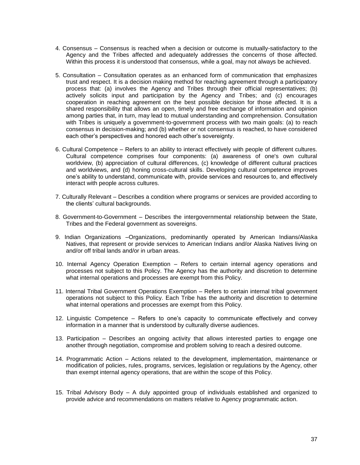- 4. Consensus Consensus is reached when a decision or outcome is mutually-satisfactory to the Agency and the Tribes affected and adequately addresses the concerns of those affected. Within this process it is understood that consensus, while a goal, may not always be achieved.
- 5. Consultation Consultation operates as an enhanced form of communication that emphasizes trust and respect. It is a decision making method for reaching agreement through a participatory process that: (a) involves the Agency and Tribes through their official representatives; (b) actively solicits input and participation by the Agency and Tribes; and (c) encourages cooperation in reaching agreement on the best possible decision for those affected. It is a shared responsibility that allows an open, timely and free exchange of information and opinion among parties that, in turn, may lead to mutual understanding and comprehension. Consultation with Tribes is uniquely a government-to-government process with two main goals: (a) to reach consensus in decision-making; and (b) whether or not consensus is reached, to have considered each other's perspectives and honored each other's sovereignty.
- 6. Cultural Competence Refers to an ability to interact effectively with people of different cultures. Cultural competence comprises four components: (a) awareness of one's own cultural worldview, (b) appreciation of cultural differences, (c) knowledge of different cultural practices and worldviews, and (d) honing cross-cultural skills. Developing cultural competence improves one's ability to understand, communicate with, provide services and resources to, and effectively interact with people across cultures.
- 7. Culturally Relevant Describes a condition where programs or services are provided according to the clients' cultural backgrounds.
- 8. Government-to-Government Describes the intergovernmental relationship between the State, Tribes and the Federal government as sovereigns.
- 9. Indian Organizations –Organizations, predominantly operated by American Indians/Alaska Natives, that represent or provide services to American Indians and/or Alaska Natives living on and/or off tribal lands and/or in urban areas.
- 10. Internal Agency Operation Exemption Refers to certain internal agency operations and processes not subject to this Policy. The Agency has the authority and discretion to determine what internal operations and processes are exempt from this Policy.
- 11. Internal Tribal Government Operations Exemption Refers to certain internal tribal government operations not subject to this Policy. Each Tribe has the authority and discretion to determine what internal operations and processes are exempt from this Policy.
- 12. Linguistic Competence Refers to one's capacity to communicate effectively and convey information in a manner that is understood by culturally diverse audiences.
- 13. Participation Describes an ongoing activity that allows interested parties to engage one another through negotiation, compromise and problem solving to reach a desired outcome.
- 14. Programmatic Action Actions related to the development, implementation, maintenance or modification of policies, rules, programs, services, legislation or regulations by the Agency, other than exempt internal agency operations, that are within the scope of this Policy.
- 15. Tribal Advisory Body A duly appointed group of individuals established and organized to provide advice and recommendations on matters relative to Agency programmatic action.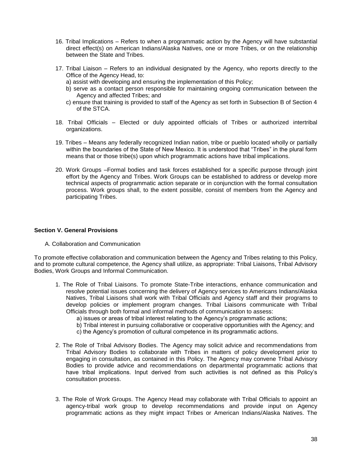- 16. Tribal Implications Refers to when a programmatic action by the Agency will have substantial direct effect(s) on American Indians/Alaska Natives, one or more Tribes, or on the relationship between the State and Tribes.
- 17. Tribal Liaison Refers to an individual designated by the Agency, who reports directly to the Office of the Agency Head, to:
	- a) assist with developing and ensuring the implementation of this Policy;
	- b) serve as a contact person responsible for maintaining ongoing communication between the Agency and affected Tribes; and
	- c) ensure that training is provided to staff of the Agency as set forth in Subsection B of Section 4 of the STCA.
- 18. Tribal Officials Elected or duly appointed officials of Tribes or authorized intertribal organizations.
- 19. Tribes Means any federally recognized Indian nation, tribe or pueblo located wholly or partially within the boundaries of the State of New Mexico. It is understood that "Tribes" in the plural form means that or those tribe(s) upon which programmatic actions have tribal implications.
- 20. Work Groups –Formal bodies and task forces established for a specific purpose through joint effort by the Agency and Tribes. Work Groups can be established to address or develop more technical aspects of programmatic action separate or in conjunction with the formal consultation process. Work groups shall, to the extent possible, consist of members from the Agency and participating Tribes.

#### **Section V. General Provisions**

A. Collaboration and Communication

To promote effective collaboration and communication between the Agency and Tribes relating to this Policy, and to promote cultural competence, the Agency shall utilize, as appropriate: Tribal Liaisons, Tribal Advisory Bodies, Work Groups and Informal Communication.

- 1. The Role of Tribal Liaisons. To promote State-Tribe interactions, enhance communication and resolve potential issues concerning the delivery of Agency services to Americans Indians/Alaska Natives, Tribal Liaisons shall work with Tribal Officials and Agency staff and their programs to develop policies or implement program changes. Tribal Liaisons communicate with Tribal Officials through both formal and informal methods of communication to assess:
	- a) issues or areas of tribal interest relating to the Agency's programmatic actions;
	- b) Tribal interest in pursuing collaborative or cooperative opportunities with the Agency; and
	- c) the Agency's promotion of cultural competence in its programmatic actions.
- 2. The Role of Tribal Advisory Bodies. The Agency may solicit advice and recommendations from Tribal Advisory Bodies to collaborate with Tribes in matters of policy development prior to engaging in consultation, as contained in this Policy. The Agency may convene Tribal Advisory Bodies to provide advice and recommendations on departmental programmatic actions that have tribal implications. Input derived from such activities is not defined as this Policy's consultation process.
- 3. The Role of Work Groups. The Agency Head may collaborate with Tribal Officials to appoint an agency-tribal work group to develop recommendations and provide input on Agency programmatic actions as they might impact Tribes or American Indians/Alaska Natives. The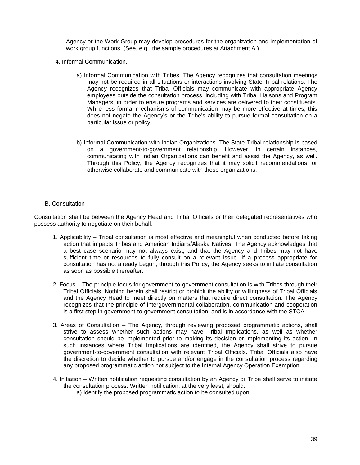Agency or the Work Group may develop procedures for the organization and implementation of work group functions. (See, e.g., the sample procedures at Attachment A.)

- 4. Informal Communication.
	- a) Informal Communication with Tribes. The Agency recognizes that consultation meetings may not be required in all situations or interactions involving State-Tribal relations. The Agency recognizes that Tribal Officials may communicate with appropriate Agency employees outside the consultation process, including with Tribal Liaisons and Program Managers, in order to ensure programs and services are delivered to their constituents. While less formal mechanisms of communication may be more effective at times, this does not negate the Agency's or the Tribe's ability to pursue formal consultation on a particular issue or policy.
	- b) Informal Communication with Indian Organizations. The State-Tribal relationship is based on a government-to-government relationship. However, in certain instances, communicating with Indian Organizations can benefit and assist the Agency, as well. Through this Policy, the Agency recognizes that it may solicit recommendations, or otherwise collaborate and communicate with these organizations.
- B. Consultation

Consultation shall be between the Agency Head and Tribal Officials or their delegated representatives who possess authority to negotiate on their behalf.

- 1. Applicability Tribal consultation is most effective and meaningful when conducted before taking action that impacts Tribes and American Indians/Alaska Natives. The Agency acknowledges that a best case scenario may not always exist, and that the Agency and Tribes may not have sufficient time or resources to fully consult on a relevant issue. If a process appropriate for consultation has not already begun, through this Policy, the Agency seeks to initiate consultation as soon as possible thereafter.
- 2. Focus The principle focus for government-to-government consultation is with Tribes through their Tribal Officials. Nothing herein shall restrict or prohibit the ability or willingness of Tribal Officials and the Agency Head to meet directly on matters that require direct consultation. The Agency recognizes that the principle of intergovernmental collaboration, communication and cooperation is a first step in government-to-government consultation, and is in accordance with the STCA.
- 3. Areas of Consultation The Agency, through reviewing proposed programmatic actions, shall strive to assess whether such actions may have Tribal Implications, as well as whether consultation should be implemented prior to making its decision or implementing its action. In such instances where Tribal Implications are identified, the Agency shall strive to pursue government-to-government consultation with relevant Tribal Officials. Tribal Officials also have the discretion to decide whether to pursue and/or engage in the consultation process regarding any proposed programmatic action not subject to the Internal Agency Operation Exemption.
- 4. Initiation Written notification requesting consultation by an Agency or Tribe shall serve to initiate the consultation process. Written notification, at the very least, should:
	- a) Identify the proposed programmatic action to be consulted upon.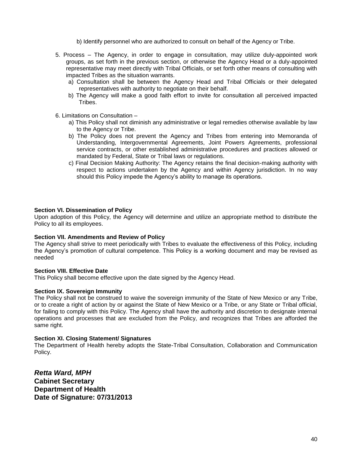b) Identify personnel who are authorized to consult on behalf of the Agency or Tribe.

- 5. Process The Agency, in order to engage in consultation, may utilize duly-appointed work groups, as set forth in the previous section, or otherwise the Agency Head or a duly-appointed representative may meet directly with Tribal Officials, or set forth other means of consulting with impacted Tribes as the situation warrants.
	- a) Consultation shall be between the Agency Head and Tribal Officials or their delegated representatives with authority to negotiate on their behalf.
	- b) The Agency will make a good faith effort to invite for consultation all perceived impacted Tribes.
- 6. Limitations on Consultation
	- a) This Policy shall not diminish any administrative or legal remedies otherwise available by law to the Agency or Tribe.
	- b) The Policy does not prevent the Agency and Tribes from entering into Memoranda of Understanding, Intergovernmental Agreements, Joint Powers Agreements, professional service contracts, or other established administrative procedures and practices allowed or mandated by Federal, State or Tribal laws or regulations.
	- c) Final Decision Making Authority: The Agency retains the final decision-making authority with respect to actions undertaken by the Agency and within Agency jurisdiction. In no way should this Policy impede the Agency's ability to manage its operations.

#### **Section VI. Dissemination of Policy**

Upon adoption of this Policy, the Agency will determine and utilize an appropriate method to distribute the Policy to all its employees.

#### **Section VII. Amendments and Review of Policy**

The Agency shall strive to meet periodically with Tribes to evaluate the effectiveness of this Policy, including the Agency's promotion of cultural competence. This Policy is a working document and may be revised as needed

#### **Section VIII. Effective Date**

This Policy shall become effective upon the date signed by the Agency Head.

#### **Section IX. Sovereign Immunity**

The Policy shall not be construed to waive the sovereign immunity of the State of New Mexico or any Tribe, or to create a right of action by or against the State of New Mexico or a Tribe, or any State or Tribal official, for failing to comply with this Policy. The Agency shall have the authority and discretion to designate internal operations and processes that are excluded from the Policy, and recognizes that Tribes are afforded the same right.

#### **Section XI. Closing Statement/ Signatures**

The Department of Health hereby adopts the State-Tribal Consultation, Collaboration and Communication Policy.

*Retta Ward, MPH* **Cabinet Secretary Department of Health Date of Signature: 07/31/2013**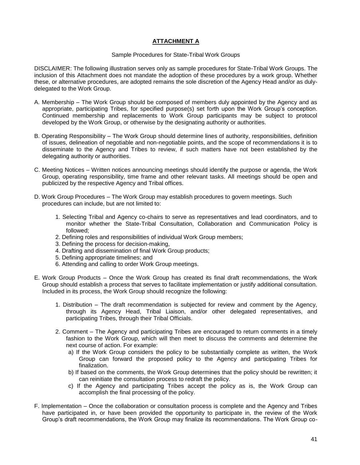#### **ATTACHMENT A**

#### Sample Procedures for State-Tribal Work Groups

DISCLAIMER: The following illustration serves only as sample procedures for State-Tribal Work Groups. The inclusion of this Attachment does not mandate the adoption of these procedures by a work group. Whether these, or alternative procedures, are adopted remains the sole discretion of the Agency Head and/or as dulydelegated to the Work Group.

- A. Membership The Work Group should be composed of members duly appointed by the Agency and as appropriate, participating Tribes, for specified purpose(s) set forth upon the Work Group's conception. Continued membership and replacements to Work Group participants may be subject to protocol developed by the Work Group, or otherwise by the designating authority or authorities.
- B. Operating Responsibility The Work Group should determine lines of authority, responsibilities, definition of issues, delineation of negotiable and non-negotiable points, and the scope of recommendations it is to disseminate to the Agency and Tribes to review, if such matters have not been established by the delegating authority or authorities.
- C. Meeting Notices Written notices announcing meetings should identify the purpose or agenda, the Work Group, operating responsibility, time frame and other relevant tasks. All meetings should be open and publicized by the respective Agency and Tribal offices.
- D. Work Group Procedures The Work Group may establish procedures to govern meetings. Such procedures can include, but are not limited to:
	- 1. Selecting Tribal and Agency co-chairs to serve as representatives and lead coordinators, and to monitor whether the State-Tribal Consultation, Collaboration and Communication Policy is followed;
	- 2. Defining roles and responsibilities of individual Work Group members;
	- 3. Defining the process for decision-making,
	- 4. Drafting and dissemination of final Work Group products;
	- 5. Defining appropriate timelines; and
	- 6. Attending and calling to order Work Group meetings.
- E. Work Group Products Once the Work Group has created its final draft recommendations, the Work Group should establish a process that serves to facilitate implementation or justify additional consultation. Included in its process, the Work Group should recognize the following:
	- 1. Distribution The draft recommendation is subjected for review and comment by the Agency, through its Agency Head, Tribal Liaison, and/or other delegated representatives, and participating Tribes, through their Tribal Officials.
	- 2. Comment The Agency and participating Tribes are encouraged to return comments in a timely fashion to the Work Group, which will then meet to discuss the comments and determine the next course of action. For example:
		- a) If the Work Group considers the policy to be substantially complete as written, the Work Group can forward the proposed policy to the Agency and participating Tribes for finalization.
		- b) If based on the comments, the Work Group determines that the policy should be rewritten; it can reinitiate the consultation process to redraft the policy.
		- c) If the Agency and participating Tribes accept the policy as is, the Work Group can accomplish the final processing of the policy.
- F. Implementation Once the collaboration or consultation process is complete and the Agency and Tribes have participated in, or have been provided the opportunity to participate in, the review of the Work Group's draft recommendations, the Work Group may finalize its recommendations. The Work Group co-